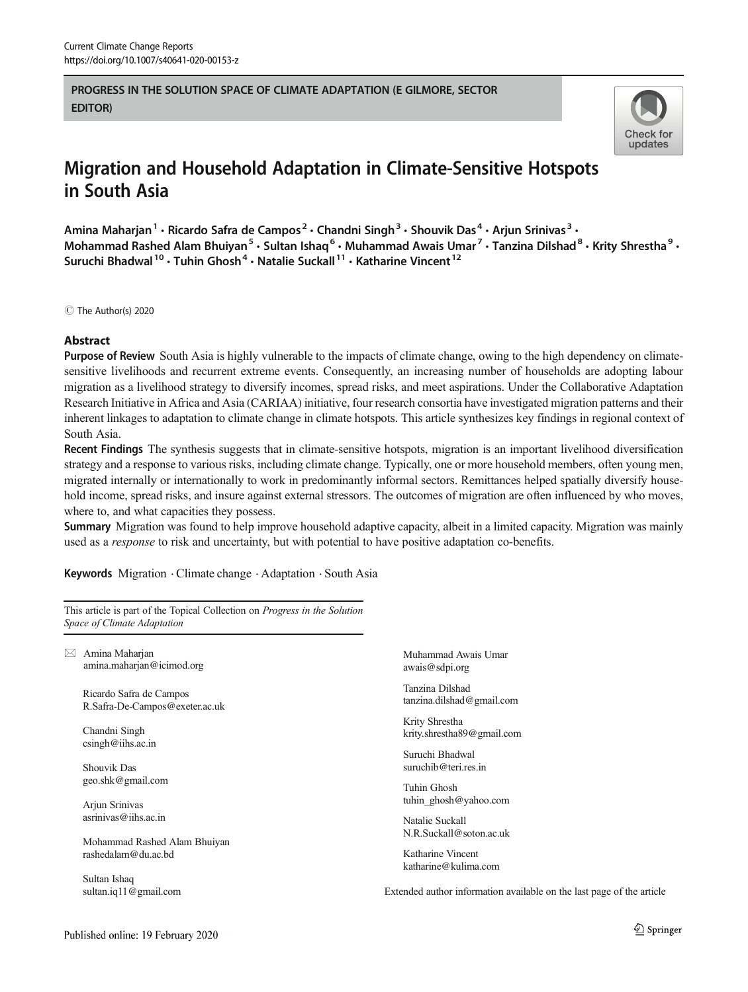PROGRESS IN THE SOLUTION SPACE OF CLIMATE ADAPTATION (E GILMORE, SECTOR EDITOR)



# Migration and Household Adaptation in Climate-Sensitive Hotspots in South Asia

Amina Maharjan<sup>1</sup> · Ricardo Safra de Campos<sup>2</sup> · Chandni Singh<sup>3</sup> · Shouvik Das<sup>4</sup> · Arjun Srinivas<sup>3</sup> · Mohammad Rashed Alam Bhuiyan<sup>5</sup> · Sultan Ishaq<sup>6</sup> · Muhammad Awais Umar<sup>7</sup> · Tanzina Dilshad<sup>8</sup> · Krity Shrestha<sup>9</sup> · Suruchi Bhadwal<sup>10</sup> · Tuhin Ghosh<sup>4</sup> · Natalie Suckall<sup>11</sup> · Katharine Vincent<sup>12</sup>

C The Author(s) 2020

## Abstract

Purpose of Review South Asia is highly vulnerable to the impacts of climate change, owing to the high dependency on climatesensitive livelihoods and recurrent extreme events. Consequently, an increasing number of households are adopting labour migration as a livelihood strategy to diversify incomes, spread risks, and meet aspirations. Under the Collaborative Adaptation Research Initiative in Africa and Asia (CARIAA) initiative, four research consortia have investigated migration patterns and their inherent linkages to adaptation to climate change in climate hotspots. This article synthesizes key findings in regional context of South Asia.

Recent Findings The synthesis suggests that in climate-sensitive hotspots, migration is an important livelihood diversification strategy and a response to various risks, including climate change. Typically, one or more household members, often young men, migrated internally or internationally to work in predominantly informal sectors. Remittances helped spatially diversify household income, spread risks, and insure against external stressors. The outcomes of migration are often influenced by who moves, where to, and what capacities they possess.

Summary Migration was found to help improve household adaptive capacity, albeit in a limited capacity. Migration was mainly used as a *response* to risk and uncertainty, but with potential to have positive adaptation co-benefits.

Keywords Migration . Climate change . Adaptation . South Asia

| This article is part of the Topical Collection on <i>Progress in the Solution</i><br>Space of Climate Adaptation |                                              |
|------------------------------------------------------------------------------------------------------------------|----------------------------------------------|
| ⊠<br>Amina Maharjan<br>amina.maharjan@icimod.org                                                                 | Muhammad Awais Umar<br>awais@sdpi.org        |
| Ricardo Safra de Campos<br>R.Safra-De-Campos@exeter.ac.uk                                                        | Tanzina Dilshad<br>tanzina.dilshad@gmail.com |
| Chandni Singh<br>csingh@iihs.ac.in                                                                               | Krity Shrestha<br>krity.shrestha89@gmail.com |
| Shouvik Das                                                                                                      | Suruchi Bhadwal<br>suruchib@teri.res.in      |
| geo.shk@gmail.com<br>Arjun Srinivas                                                                              | Tuhin Ghosh<br>tuhin ghosh@yahoo.com         |
| $a$ srinivas@iihs.ac.in                                                                                          | Natalie Suckall<br>N.R. Suckall@soton.ac.uk  |
| Mohammad Rashed Alam Bhuiyan<br>rashedalam@du.ac.bd                                                              | Katharine Vincent<br>katharine@kulima.com    |
| Sultan Ishaq<br>sultan.iq11@gmail.com                                                                            | Extended author information available on t   |
|                                                                                                                  |                                              |

the last page of the article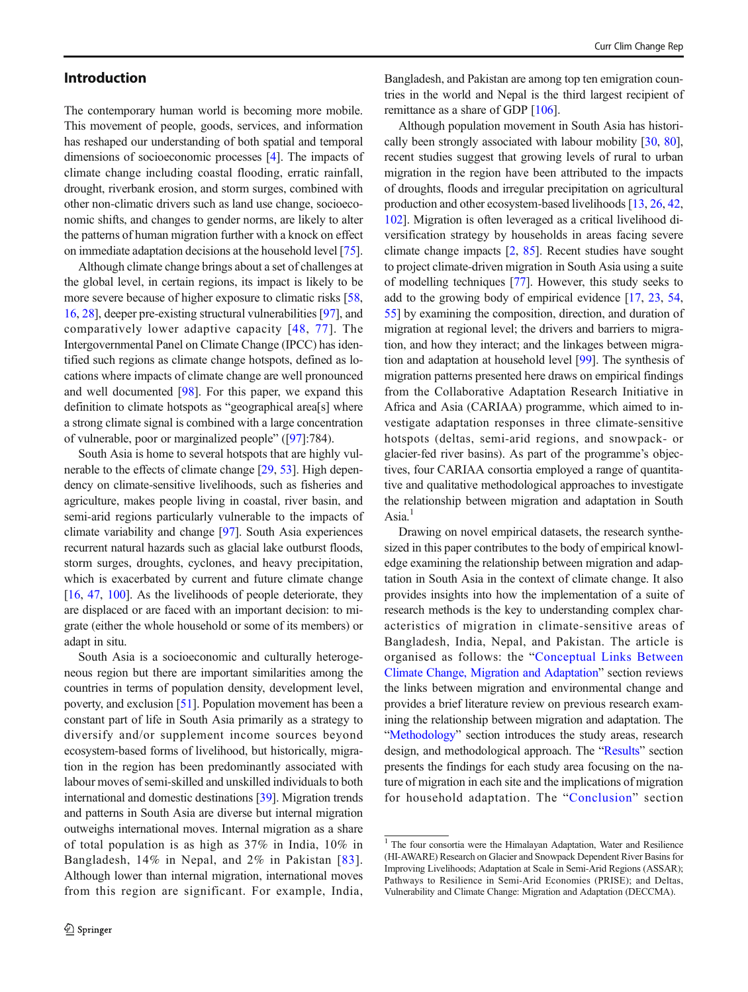## Introduction

The contemporary human world is becoming more mobile. This movement of people, goods, services, and information has reshaped our understanding of both spatial and temporal dimensions of socioeconomic processes [\[4](#page-12-0)]. The impacts of climate change including coastal flooding, erratic rainfall, drought, riverbank erosion, and storm surges, combined with other non-climatic drivers such as land use change, socioeconomic shifts, and changes to gender norms, are likely to alter the patterns of human migration further with a knock on effect on immediate adaptation decisions at the household level [[75\]](#page-14-0).

Although climate change brings about a set of challenges at the global level, in certain regions, its impact is likely to be more severe because of higher exposure to climatic risks [[58,](#page-14-0) [16,](#page-13-0) [28](#page-13-0)], deeper pre-existing structural vulnerabilities [\[97](#page-15-0)], and comparatively lower adaptive capacity [[48,](#page-13-0) [77\]](#page-14-0). The Intergovernmental Panel on Climate Change (IPCC) has identified such regions as climate change hotspots, defined as locations where impacts of climate change are well pronounced and well documented [[98\]](#page-15-0). For this paper, we expand this definition to climate hotspots as "geographical area[s] where a strong climate signal is combined with a large concentration of vulnerable, poor or marginalized people" ([[97](#page-15-0)]:784).

South Asia is home to several hotspots that are highly vulnerable to the effects of climate change [\[29](#page-13-0), [53\]](#page-14-0). High dependency on climate-sensitive livelihoods, such as fisheries and agriculture, makes people living in coastal, river basin, and semi-arid regions particularly vulnerable to the impacts of climate variability and change [\[97](#page-15-0)]. South Asia experiences recurrent natural hazards such as glacial lake outburst floods, storm surges, droughts, cyclones, and heavy precipitation, which is exacerbated by current and future climate change [\[16,](#page-13-0) [47,](#page-13-0) [100](#page-15-0)]. As the livelihoods of people deteriorate, they are displaced or are faced with an important decision: to migrate (either the whole household or some of its members) or adapt in situ.

South Asia is a socioeconomic and culturally heterogeneous region but there are important similarities among the countries in terms of population density, development level, poverty, and exclusion [[51](#page-14-0)]. Population movement has been a constant part of life in South Asia primarily as a strategy to diversify and/or supplement income sources beyond ecosystem-based forms of livelihood, but historically, migration in the region has been predominantly associated with labour moves of semi-skilled and unskilled individuals to both international and domestic destinations [\[39\]](#page-13-0). Migration trends and patterns in South Asia are diverse but internal migration outweighs international moves. Internal migration as a share of total population is as high as 37% in India, 10% in Bangladesh, 14% in Nepal, and 2% in Pakistan [[83](#page-14-0)]. Although lower than internal migration, international moves from this region are significant. For example, India,

Bangladesh, and Pakistan are among top ten emigration countries in the world and Nepal is the third largest recipient of remittance as a share of GDP [\[106\]](#page-15-0).

Although population movement in South Asia has historically been strongly associated with labour mobility [[30](#page-13-0), [80\]](#page-14-0), recent studies suggest that growing levels of rural to urban migration in the region have been attributed to the impacts of droughts, floods and irregular precipitation on agricultural production and other ecosystem-based livelihoods [[13](#page-13-0), [26,](#page-13-0) [42,](#page-13-0) [102\]](#page-15-0). Migration is often leveraged as a critical livelihood diversification strategy by households in areas facing severe climate change impacts [[2,](#page-12-0) [85](#page-15-0)]. Recent studies have sought to project climate-driven migration in South Asia using a suite of modelling techniques [\[77\]](#page-14-0). However, this study seeks to add to the growing body of empirical evidence [[17,](#page-13-0) [23](#page-13-0), [54,](#page-14-0) [55\]](#page-14-0) by examining the composition, direction, and duration of migration at regional level; the drivers and barriers to migration, and how they interact; and the linkages between migration and adaptation at household level [[99](#page-15-0)]. The synthesis of migration patterns presented here draws on empirical findings from the Collaborative Adaptation Research Initiative in Africa and Asia (CARIAA) programme, which aimed to investigate adaptation responses in three climate-sensitive hotspots (deltas, semi-arid regions, and snowpack- or glacier-fed river basins). As part of the programme's objectives, four CARIAA consortia employed a range of quantitative and qualitative methodological approaches to investigate the relationship between migration and adaptation in South  $\text{Asia.}^1$ 

Drawing on novel empirical datasets, the research synthesized in this paper contributes to the body of empirical knowledge examining the relationship between migration and adaptation in South Asia in the context of climate change. It also provides insights into how the implementation of a suite of research methods is the key to understanding complex characteristics of migration in climate-sensitive areas of Bangladesh, India, Nepal, and Pakistan. The article is organised as follows: the "[Conceptual Links Between](#page-2-0) [Climate Change, Migration and Adaptation](#page-2-0)" section reviews the links between migration and environmental change and provides a brief literature review on previous research examining the relationship between migration and adaptation. The "[Methodology](#page-3-0)" section introduces the study areas, research design, and methodological approach. The "[Results](#page-5-0)" section presents the findings for each study area focusing on the nature of migration in each site and the implications of migration for household adaptation. The "[Conclusion](#page-11-0)" section

<sup>&</sup>lt;sup>1</sup> The four consortia were the Himalayan Adaptation, Water and Resilience (HI-AWARE) Research on Glacier and Snowpack Dependent River Basins for Improving Livelihoods; Adaptation at Scale in Semi-Arid Regions (ASSAR); Pathways to Resilience in Semi-Arid Economies (PRISE); and Deltas, Vulnerability and Climate Change: Migration and Adaptation (DECCMA).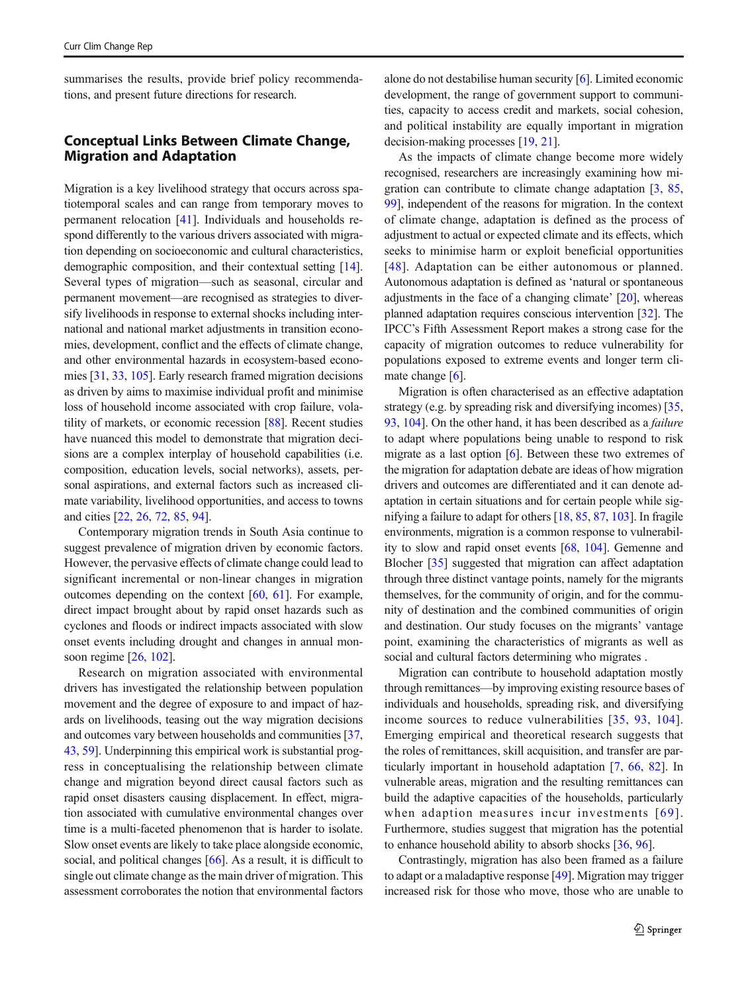<span id="page-2-0"></span>summarises the results, provide brief policy recommendations, and present future directions for research.

# Conceptual Links Between Climate Change, Migration and Adaptation

Migration is a key livelihood strategy that occurs across spatiotemporal scales and can range from temporary moves to permanent relocation [\[41](#page-13-0)]. Individuals and households respond differently to the various drivers associated with migration depending on socioeconomic and cultural characteristics, demographic composition, and their contextual setting [[14\]](#page-13-0). Several types of migration—such as seasonal, circular and permanent movement—are recognised as strategies to diversify livelihoods in response to external shocks including international and national market adjustments in transition economies, development, conflict and the effects of climate change, and other environmental hazards in ecosystem-based economies [[31](#page-13-0), [33,](#page-13-0) [105](#page-15-0)]. Early research framed migration decisions as driven by aims to maximise individual profit and minimise loss of household income associated with crop failure, volatility of markets, or economic recession [[88](#page-15-0)]. Recent studies have nuanced this model to demonstrate that migration decisions are a complex interplay of household capabilities (i.e. composition, education levels, social networks), assets, personal aspirations, and external factors such as increased climate variability, livelihood opportunities, and access to towns and cities [[22](#page-13-0), [26](#page-13-0), [72](#page-14-0), [85](#page-15-0), [94\]](#page-15-0).

Contemporary migration trends in South Asia continue to suggest prevalence of migration driven by economic factors. However, the pervasive effects of climate change could lead to significant incremental or non-linear changes in migration outcomes depending on the context [\[60](#page-14-0), [61](#page-14-0)]. For example, direct impact brought about by rapid onset hazards such as cyclones and floods or indirect impacts associated with slow onset events including drought and changes in annual monsoon regime [[26](#page-13-0), [102](#page-15-0)].

Research on migration associated with environmental drivers has investigated the relationship between population movement and the degree of exposure to and impact of hazards on livelihoods, teasing out the way migration decisions and outcomes vary between households and communities [[37,](#page-13-0) [43,](#page-13-0) [59](#page-14-0)]. Underpinning this empirical work is substantial progress in conceptualising the relationship between climate change and migration beyond direct causal factors such as rapid onset disasters causing displacement. In effect, migration associated with cumulative environmental changes over time is a multi-faceted phenomenon that is harder to isolate. Slow onset events are likely to take place alongside economic, social, and political changes [\[66](#page-14-0)]. As a result, it is difficult to single out climate change as the main driver of migration. This assessment corroborates the notion that environmental factors alone do not destabilise human security [[6\]](#page-12-0). Limited economic development, the range of government support to communities, capacity to access credit and markets, social cohesion, and political instability are equally important in migration decision-making processes [\[19,](#page-13-0) [21\]](#page-13-0).

As the impacts of climate change become more widely recognised, researchers are increasingly examining how migration can contribute to climate change adaptation [[3,](#page-12-0) [85,](#page-15-0) [99\]](#page-15-0), independent of the reasons for migration. In the context of climate change, adaptation is defined as the process of adjustment to actual or expected climate and its effects, which seeks to minimise harm or exploit beneficial opportunities [[48](#page-13-0)]. Adaptation can be either autonomous or planned. Autonomous adaptation is defined as 'natural or spontaneous adjustments in the face of a changing climate' [\[20\]](#page-13-0), whereas planned adaptation requires conscious intervention [[32\]](#page-13-0). The IPCC's Fifth Assessment Report makes a strong case for the capacity of migration outcomes to reduce vulnerability for populations exposed to extreme events and longer term climate change  $[6]$  $[6]$ .

Migration is often characterised as an effective adaptation strategy (e.g. by spreading risk and diversifying incomes) [\[35,](#page-13-0) [93,](#page-15-0) [104\]](#page-15-0). On the other hand, it has been described as a failure to adapt where populations being unable to respond to risk migrate as a last option [[6\]](#page-12-0). Between these two extremes of the migration for adaptation debate are ideas of how migration drivers and outcomes are differentiated and it can denote adaptation in certain situations and for certain people while signifying a failure to adapt for others [\[18,](#page-13-0) [85](#page-15-0), [87](#page-15-0), [103\]](#page-15-0). In fragile environments, migration is a common response to vulnerability to slow and rapid onset events [[68](#page-14-0), [104](#page-15-0)]. Gemenne and Blocher [[35](#page-13-0)] suggested that migration can affect adaptation through three distinct vantage points, namely for the migrants themselves, for the community of origin, and for the community of destination and the combined communities of origin and destination. Our study focuses on the migrants' vantage point, examining the characteristics of migrants as well as social and cultural factors determining who migrates .

Migration can contribute to household adaptation mostly through remittances—by improving existing resource bases of individuals and households, spreading risk, and diversifying income sources to reduce vulnerabilities [[35,](#page-13-0) [93,](#page-15-0) [104](#page-15-0)]. Emerging empirical and theoretical research suggests that the roles of remittances, skill acquisition, and transfer are particularly important in household adaptation [\[7](#page-12-0), [66](#page-14-0), [82\]](#page-14-0). In vulnerable areas, migration and the resulting remittances can build the adaptive capacities of the households, particularly when adaption measures incur investments [[69\]](#page-14-0). Furthermore, studies suggest that migration has the potential to enhance household ability to absorb shocks [[36](#page-13-0), [96](#page-15-0)].

Contrastingly, migration has also been framed as a failure to adapt or a maladaptive response [\[49](#page-13-0)]. Migration may trigger increased risk for those who move, those who are unable to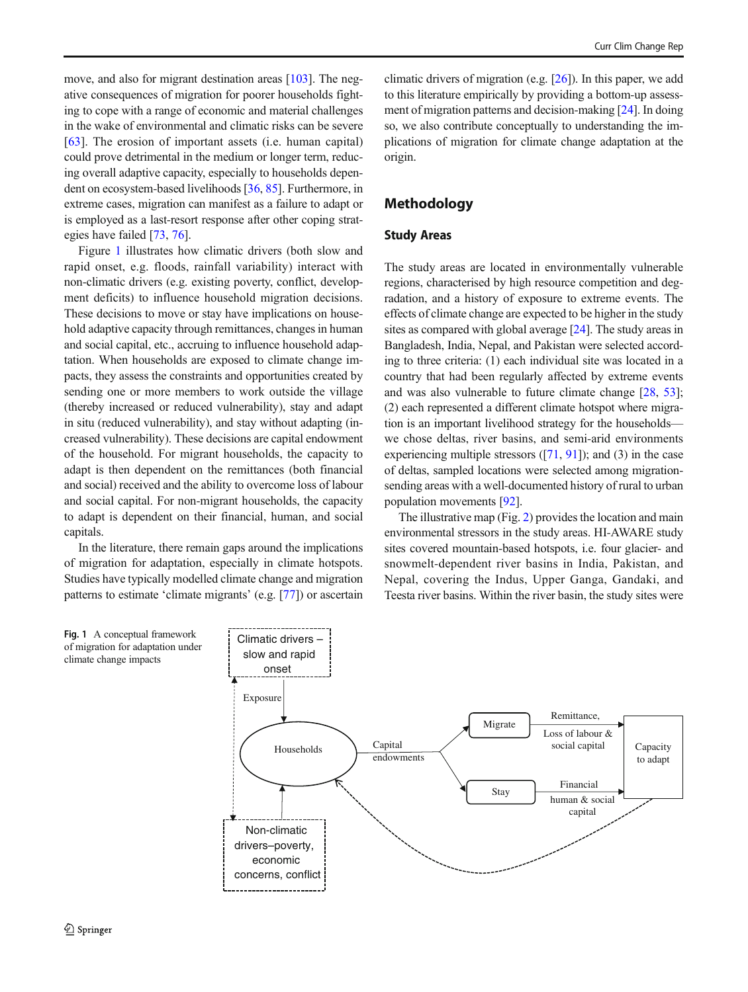<span id="page-3-0"></span>move, and also for migrant destination areas [[103\]](#page-15-0). The negative consequences of migration for poorer households fighting to cope with a range of economic and material challenges in the wake of environmental and climatic risks can be severe [\[63](#page-14-0)]. The erosion of important assets (i.e. human capital) could prove detrimental in the medium or longer term, reducing overall adaptive capacity, especially to households dependent on ecosystem-based livelihoods [\[36](#page-13-0), [85](#page-15-0)]. Furthermore, in extreme cases, migration can manifest as a failure to adapt or is employed as a last-resort response after other coping strategies have failed [\[73,](#page-14-0) [76\]](#page-14-0).

Figure 1 illustrates how climatic drivers (both slow and rapid onset, e.g. floods, rainfall variability) interact with non-climatic drivers (e.g. existing poverty, conflict, development deficits) to influence household migration decisions. These decisions to move or stay have implications on household adaptive capacity through remittances, changes in human and social capital, etc., accruing to influence household adaptation. When households are exposed to climate change impacts, they assess the constraints and opportunities created by sending one or more members to work outside the village (thereby increased or reduced vulnerability), stay and adapt in situ (reduced vulnerability), and stay without adapting (increased vulnerability). These decisions are capital endowment of the household. For migrant households, the capacity to adapt is then dependent on the remittances (both financial and social) received and the ability to overcome loss of labour and social capital. For non-migrant households, the capacity to adapt is dependent on their financial, human, and social capitals.

In the literature, there remain gaps around the implications of migration for adaptation, especially in climate hotspots. Studies have typically modelled climate change and migration patterns to estimate 'climate migrants' (e.g. [[77](#page-14-0)]) or ascertain climatic drivers of migration (e.g. [\[26\]](#page-13-0)). In this paper, we add to this literature empirically by providing a bottom-up assessment of migration patterns and decision-making [[24\]](#page-13-0). In doing so, we also contribute conceptually to understanding the implications of migration for climate change adaptation at the origin.

# Methodology

## Study Areas

The study areas are located in environmentally vulnerable regions, characterised by high resource competition and degradation, and a history of exposure to extreme events. The effects of climate change are expected to be higher in the study sites as compared with global average [[24\]](#page-13-0). The study areas in Bangladesh, India, Nepal, and Pakistan were selected according to three criteria: (1) each individual site was located in a country that had been regularly affected by extreme events and was also vulnerable to future climate change [\[28](#page-13-0), [53](#page-14-0)]; (2) each represented a different climate hotspot where migration is an important livelihood strategy for the households we chose deltas, river basins, and semi-arid environments experiencing multiple stressors ([[71](#page-14-0), [91](#page-15-0)]); and (3) in the case of deltas, sampled locations were selected among migrationsending areas with a well-documented history of rural to urban population movements [[92\]](#page-15-0).

The illustrative map (Fig. [2\)](#page-4-0) provides the location and main environmental stressors in the study areas. HI-AWARE study sites covered mountain-based hotspots, i.e. four glacier- and snowmelt-dependent river basins in India, Pakistan, and Nepal, covering the Indus, Upper Ganga, Gandaki, and Teesta river basins. Within the river basin, the study sites were

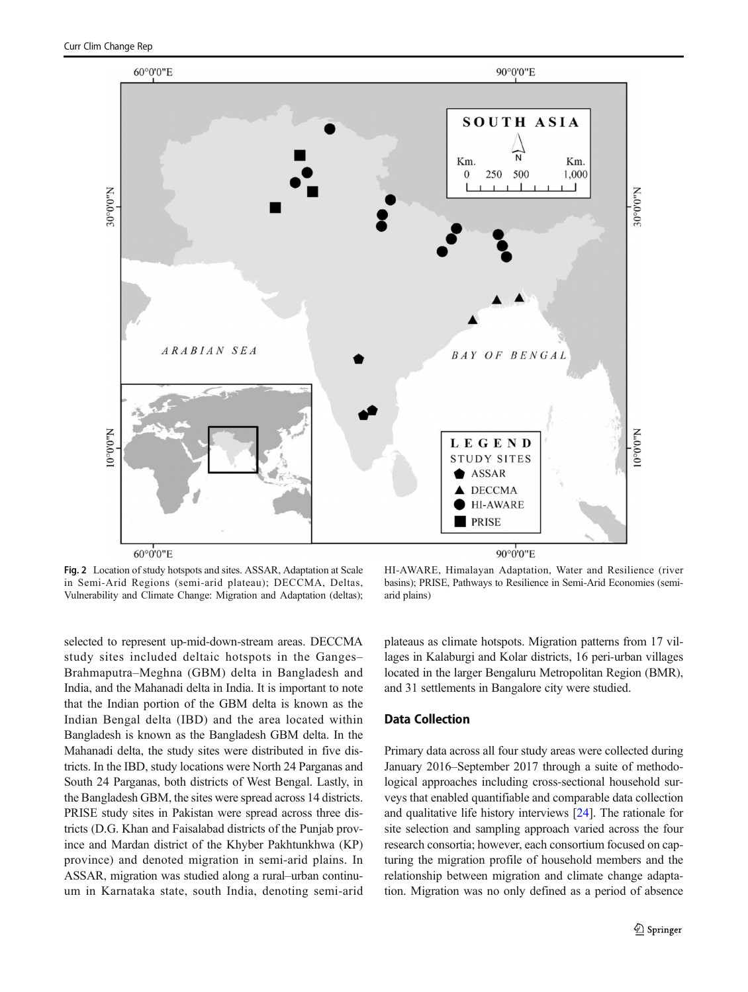<span id="page-4-0"></span>

Fig. 2 Location of study hotspots and sites. ASSAR, Adaptation at Scale in Semi-Arid Regions (semi-arid plateau); DECCMA, Deltas, Vulnerability and Climate Change: Migration and Adaptation (deltas);

HI-AWARE, Himalayan Adaptation, Water and Resilience (river basins); PRISE, Pathways to Resilience in Semi-Arid Economies (semiarid plains)

selected to represent up-mid-down-stream areas. DECCMA study sites included deltaic hotspots in the Ganges– Brahmaputra–Meghna (GBM) delta in Bangladesh and India, and the Mahanadi delta in India. It is important to note that the Indian portion of the GBM delta is known as the Indian Bengal delta (IBD) and the area located within Bangladesh is known as the Bangladesh GBM delta. In the Mahanadi delta, the study sites were distributed in five districts. In the IBD, study locations were North 24 Parganas and South 24 Parganas, both districts of West Bengal. Lastly, in the Bangladesh GBM, the sites were spread across 14 districts. PRISE study sites in Pakistan were spread across three districts (D.G. Khan and Faisalabad districts of the Punjab province and Mardan district of the Khyber Pakhtunkhwa (KP) province) and denoted migration in semi-arid plains. In ASSAR, migration was studied along a rural–urban continuum in Karnataka state, south India, denoting semi-arid plateaus as climate hotspots. Migration patterns from 17 villages in Kalaburgi and Kolar districts, 16 peri-urban villages located in the larger Bengaluru Metropolitan Region (BMR), and 31 settlements in Bangalore city were studied.

## Data Collection

Primary data across all four study areas were collected during January 2016–September 2017 through a suite of methodological approaches including cross-sectional household surveys that enabled quantifiable and comparable data collection and qualitative life history interviews [\[24](#page-13-0)]. The rationale for site selection and sampling approach varied across the four research consortia; however, each consortium focused on capturing the migration profile of household members and the relationship between migration and climate change adaptation. Migration was no only defined as a period of absence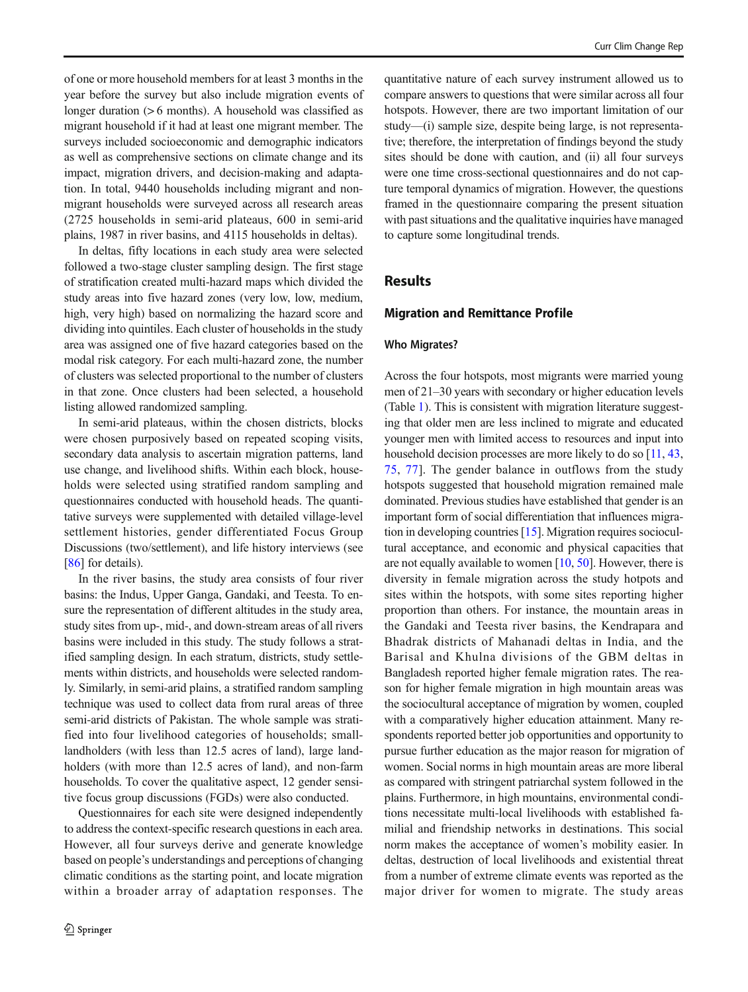<span id="page-5-0"></span>of one or more household members for at least 3 months in the year before the survey but also include migration events of longer duration (> 6 months). A household was classified as migrant household if it had at least one migrant member. The surveys included socioeconomic and demographic indicators as well as comprehensive sections on climate change and its impact, migration drivers, and decision-making and adaptation. In total, 9440 households including migrant and nonmigrant households were surveyed across all research areas (2725 households in semi-arid plateaus, 600 in semi-arid plains, 1987 in river basins, and 4115 households in deltas).

In deltas, fifty locations in each study area were selected followed a two-stage cluster sampling design. The first stage of stratification created multi-hazard maps which divided the study areas into five hazard zones (very low, low, medium, high, very high) based on normalizing the hazard score and dividing into quintiles. Each cluster of households in the study area was assigned one of five hazard categories based on the modal risk category. For each multi-hazard zone, the number of clusters was selected proportional to the number of clusters in that zone. Once clusters had been selected, a household listing allowed randomized sampling.

In semi-arid plateaus, within the chosen districts, blocks were chosen purposively based on repeated scoping visits, secondary data analysis to ascertain migration patterns, land use change, and livelihood shifts. Within each block, households were selected using stratified random sampling and questionnaires conducted with household heads. The quantitative surveys were supplemented with detailed village-level settlement histories, gender differentiated Focus Group Discussions (two/settlement), and life history interviews (see [\[86\]](#page-15-0) for details).

In the river basins, the study area consists of four river basins: the Indus, Upper Ganga, Gandaki, and Teesta. To ensure the representation of different altitudes in the study area, study sites from up-, mid-, and down-stream areas of all rivers basins were included in this study. The study follows a stratified sampling design. In each stratum, districts, study settlements within districts, and households were selected randomly. Similarly, in semi-arid plains, a stratified random sampling technique was used to collect data from rural areas of three semi-arid districts of Pakistan. The whole sample was stratified into four livelihood categories of households; smalllandholders (with less than 12.5 acres of land), large landholders (with more than 12.5 acres of land), and non-farm households. To cover the qualitative aspect, 12 gender sensitive focus group discussions (FGDs) were also conducted.

Questionnaires for each site were designed independently to address the context-specific research questions in each area. However, all four surveys derive and generate knowledge based on people's understandings and perceptions of changing climatic conditions as the starting point, and locate migration within a broader array of adaptation responses. The quantitative nature of each survey instrument allowed us to compare answers to questions that were similar across all four hotspots. However, there are two important limitation of our study—(i) sample size, despite being large, is not representative; therefore, the interpretation of findings beyond the study sites should be done with caution, and (ii) all four surveys were one time cross-sectional questionnaires and do not capture temporal dynamics of migration. However, the questions framed in the questionnaire comparing the present situation with past situations and the qualitative inquiries have managed to capture some longitudinal trends.

## **Results**

#### Migration and Remittance Profile

#### Who Migrates?

Across the four hotspots, most migrants were married young men of 21–30 years with secondary or higher education levels (Table [1](#page-6-0)). This is consistent with migration literature suggesting that older men are less inclined to migrate and educated younger men with limited access to resources and input into household decision processes are more likely to do so [[11](#page-12-0), [43,](#page-13-0) [75](#page-14-0), [77](#page-14-0)]. The gender balance in outflows from the study hotspots suggested that household migration remained male dominated. Previous studies have established that gender is an important form of social differentiation that influences migration in developing countries [\[15\]](#page-13-0). Migration requires sociocultural acceptance, and economic and physical capacities that are not equally available to women [\[10,](#page-12-0) [50](#page-14-0)]. However, there is diversity in female migration across the study hotpots and sites within the hotspots, with some sites reporting higher proportion than others. For instance, the mountain areas in the Gandaki and Teesta river basins, the Kendrapara and Bhadrak districts of Mahanadi deltas in India, and the Barisal and Khulna divisions of the GBM deltas in Bangladesh reported higher female migration rates. The reason for higher female migration in high mountain areas was the sociocultural acceptance of migration by women, coupled with a comparatively higher education attainment. Many respondents reported better job opportunities and opportunity to pursue further education as the major reason for migration of women. Social norms in high mountain areas are more liberal as compared with stringent patriarchal system followed in the plains. Furthermore, in high mountains, environmental conditions necessitate multi-local livelihoods with established familial and friendship networks in destinations. This social norm makes the acceptance of women's mobility easier. In deltas, destruction of local livelihoods and existential threat from a number of extreme climate events was reported as the major driver for women to migrate. The study areas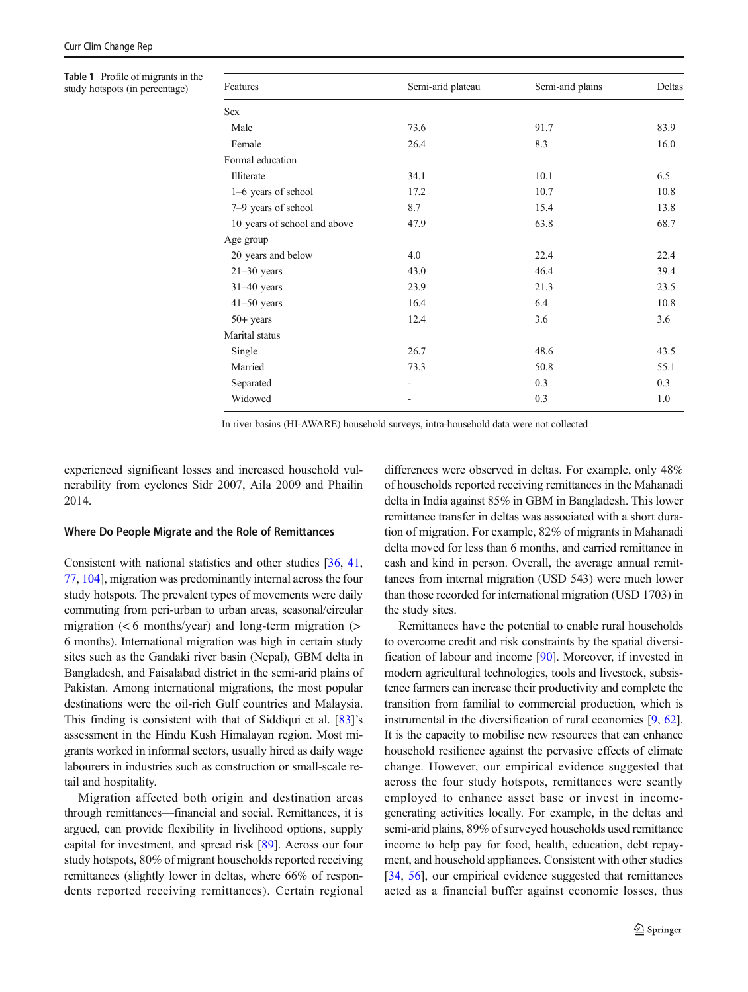<span id="page-6-0"></span>Table 1 Profile of migrants in the study hotspots (in percentage)

| Features                     | Semi-arid plateau        | Semi-arid plains | Deltas |
|------------------------------|--------------------------|------------------|--------|
| Sex                          |                          |                  |        |
| Male                         | 73.6                     | 91.7             | 83.9   |
| Female                       | 26.4                     | 8.3              | 16.0   |
| Formal education             |                          |                  |        |
| Illiterate                   | 34.1                     | 10.1             | 6.5    |
| 1-6 years of school          | 17.2                     | 10.7             | 10.8   |
| 7–9 years of school          | 8.7                      | 15.4             | 13.8   |
| 10 years of school and above | 47.9                     | 63.8             | 68.7   |
| Age group                    |                          |                  |        |
| 20 years and below           | 4.0                      | 22.4             | 22.4   |
| $21-30$ years                | 43.0                     | 46.4             | 39.4   |
| $31-40$ years                | 23.9                     | 21.3             | 23.5   |
| $41-50$ years                | 16.4                     | 6.4              | 10.8   |
| $50+$ years                  | 12.4                     | 3.6              | 3.6    |
| Marital status               |                          |                  |        |
| Single                       | 26.7                     | 48.6             | 43.5   |
| Married                      | 73.3                     | 50.8             | 55.1   |
| Separated                    | $\overline{\phantom{0}}$ | 0.3              | 0.3    |
| Widowed                      |                          | 0.3              | 1.0    |

In river basins (HI-AWARE) household surveys, intra-household data were not collected

experienced significant losses and increased household vulnerability from cyclones Sidr 2007, Aila 2009 and Phailin 2014.

#### Where Do People Migrate and the Role of Remittances

Consistent with national statistics and other studies [\[36,](#page-13-0) [41,](#page-13-0) [77,](#page-14-0) [104\]](#page-15-0), migration was predominantly internal across the four study hotspots. The prevalent types of movements were daily commuting from peri-urban to urban areas, seasonal/circular migration  $(< 6$  months/year) and long-term migration  $(> 6)$ 6 months). International migration was high in certain study sites such as the Gandaki river basin (Nepal), GBM delta in Bangladesh, and Faisalabad district in the semi-arid plains of Pakistan. Among international migrations, the most popular destinations were the oil-rich Gulf countries and Malaysia. This finding is consistent with that of Siddiqui et al. [[83\]](#page-14-0)'s assessment in the Hindu Kush Himalayan region. Most migrants worked in informal sectors, usually hired as daily wage labourers in industries such as construction or small-scale retail and hospitality.

Migration affected both origin and destination areas through remittances—financial and social. Remittances, it is argued, can provide flexibility in livelihood options, supply capital for investment, and spread risk [\[89](#page-15-0)]. Across our four study hotspots, 80% of migrant households reported receiving remittances (slightly lower in deltas, where 66% of respondents reported receiving remittances). Certain regional differences were observed in deltas. For example, only 48% of households reported receiving remittances in the Mahanadi delta in India against 85% in GBM in Bangladesh. This lower remittance transfer in deltas was associated with a short duration of migration. For example, 82% of migrants in Mahanadi delta moved for less than 6 months, and carried remittance in cash and kind in person. Overall, the average annual remittances from internal migration (USD 543) were much lower than those recorded for international migration (USD 1703) in the study sites.

Remittances have the potential to enable rural households to overcome credit and risk constraints by the spatial diversification of labour and income [\[90\]](#page-15-0). Moreover, if invested in modern agricultural technologies, tools and livestock, subsistence farmers can increase their productivity and complete the transition from familial to commercial production, which is instrumental in the diversification of rural economies [[9,](#page-12-0) [62\]](#page-14-0). It is the capacity to mobilise new resources that can enhance household resilience against the pervasive effects of climate change. However, our empirical evidence suggested that across the four study hotspots, remittances were scantly employed to enhance asset base or invest in incomegenerating activities locally. For example, in the deltas and semi-arid plains, 89% of surveyed households used remittance income to help pay for food, health, education, debt repayment, and household appliances. Consistent with other studies [\[34](#page-13-0), [56](#page-14-0)], our empirical evidence suggested that remittances acted as a financial buffer against economic losses, thus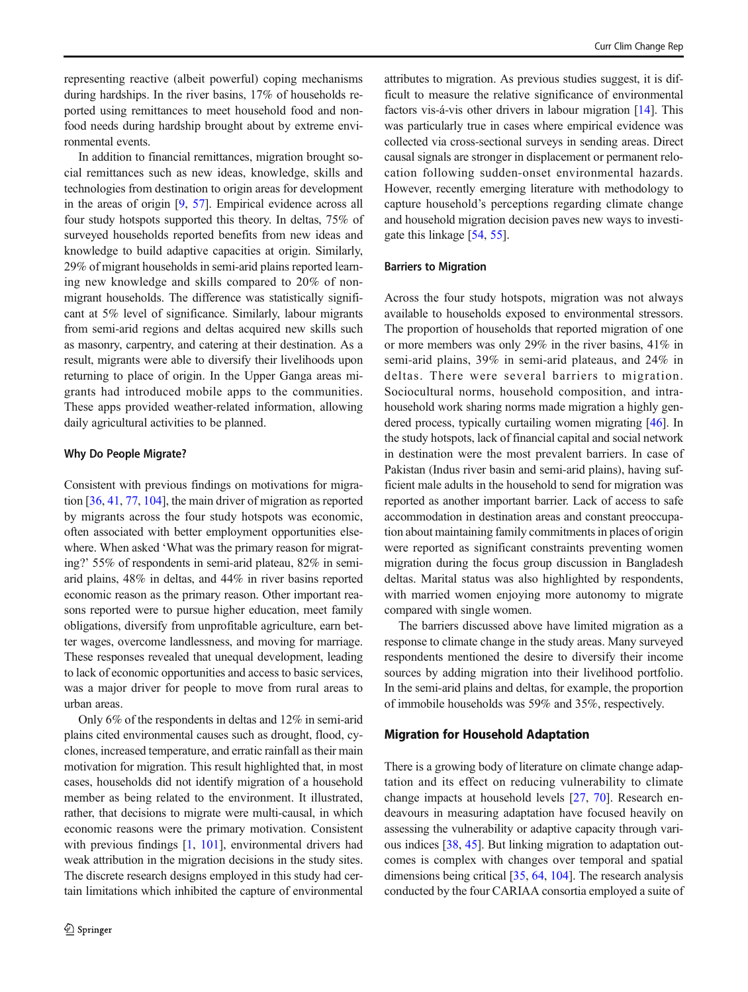<span id="page-7-0"></span>representing reactive (albeit powerful) coping mechanisms during hardships. In the river basins, 17% of households reported using remittances to meet household food and nonfood needs during hardship brought about by extreme environmental events.

In addition to financial remittances, migration brought social remittances such as new ideas, knowledge, skills and technologies from destination to origin areas for development in the areas of origin [\[9](#page-12-0), [57](#page-14-0)]. Empirical evidence across all four study hotspots supported this theory. In deltas, 75% of surveyed households reported benefits from new ideas and knowledge to build adaptive capacities at origin. Similarly, 29% of migrant households in semi-arid plains reported learning new knowledge and skills compared to 20% of nonmigrant households. The difference was statistically significant at 5% level of significance. Similarly, labour migrants from semi-arid regions and deltas acquired new skills such as masonry, carpentry, and catering at their destination. As a result, migrants were able to diversify their livelihoods upon returning to place of origin. In the Upper Ganga areas migrants had introduced mobile apps to the communities. These apps provided weather-related information, allowing daily agricultural activities to be planned.

#### Why Do People Migrate?

Consistent with previous findings on motivations for migration [\[36](#page-13-0), [41](#page-13-0), [77,](#page-14-0) [104\]](#page-15-0), the main driver of migration as reported by migrants across the four study hotspots was economic, often associated with better employment opportunities elsewhere. When asked 'What was the primary reason for migrating?' 55% of respondents in semi-arid plateau, 82% in semiarid plains, 48% in deltas, and 44% in river basins reported economic reason as the primary reason. Other important reasons reported were to pursue higher education, meet family obligations, diversify from unprofitable agriculture, earn better wages, overcome landlessness, and moving for marriage. These responses revealed that unequal development, leading to lack of economic opportunities and access to basic services, was a major driver for people to move from rural areas to urban areas.

Only 6% of the respondents in deltas and 12% in semi-arid plains cited environmental causes such as drought, flood, cyclones, increased temperature, and erratic rainfall as their main motivation for migration. This result highlighted that, in most cases, households did not identify migration of a household member as being related to the environment. It illustrated, rather, that decisions to migrate were multi-causal, in which economic reasons were the primary motivation. Consistent with previous findings [[1,](#page-12-0) [101\]](#page-15-0), environmental drivers had weak attribution in the migration decisions in the study sites. The discrete research designs employed in this study had certain limitations which inhibited the capture of environmental

attributes to migration. As previous studies suggest, it is difficult to measure the relative significance of environmental factors vis-á-vis other drivers in labour migration [\[14](#page-13-0)]. This was particularly true in cases where empirical evidence was collected via cross-sectional surveys in sending areas. Direct causal signals are stronger in displacement or permanent relocation following sudden-onset environmental hazards. However, recently emerging literature with methodology to capture household's perceptions regarding climate change and household migration decision paves new ways to investigate this linkage [[54](#page-14-0), [55](#page-14-0)].

#### Barriers to Migration

Across the four study hotspots, migration was not always available to households exposed to environmental stressors. The proportion of households that reported migration of one or more members was only 29% in the river basins, 41% in semi-arid plains, 39% in semi-arid plateaus, and 24% in deltas. There were several barriers to migration. Sociocultural norms, household composition, and intrahousehold work sharing norms made migration a highly gendered process, typically curtailing women migrating [[46](#page-13-0)]. In the study hotspots, lack of financial capital and social network in destination were the most prevalent barriers. In case of Pakistan (Indus river basin and semi-arid plains), having sufficient male adults in the household to send for migration was reported as another important barrier. Lack of access to safe accommodation in destination areas and constant preoccupation about maintaining family commitments in places of origin were reported as significant constraints preventing women migration during the focus group discussion in Bangladesh deltas. Marital status was also highlighted by respondents, with married women enjoying more autonomy to migrate compared with single women.

The barriers discussed above have limited migration as a response to climate change in the study areas. Many surveyed respondents mentioned the desire to diversify their income sources by adding migration into their livelihood portfolio. In the semi-arid plains and deltas, for example, the proportion of immobile households was 59% and 35%, respectively.

#### Migration for Household Adaptation

There is a growing body of literature on climate change adaptation and its effect on reducing vulnerability to climate change impacts at household levels [[27,](#page-13-0) [70\]](#page-14-0). Research endeavours in measuring adaptation have focused heavily on assessing the vulnerability or adaptive capacity through various indices [[38](#page-13-0), [45](#page-13-0)]. But linking migration to adaptation outcomes is complex with changes over temporal and spatial dimensions being critical [[35,](#page-13-0) [64](#page-14-0), [104\]](#page-15-0). The research analysis conducted by the four CARIAA consortia employed a suite of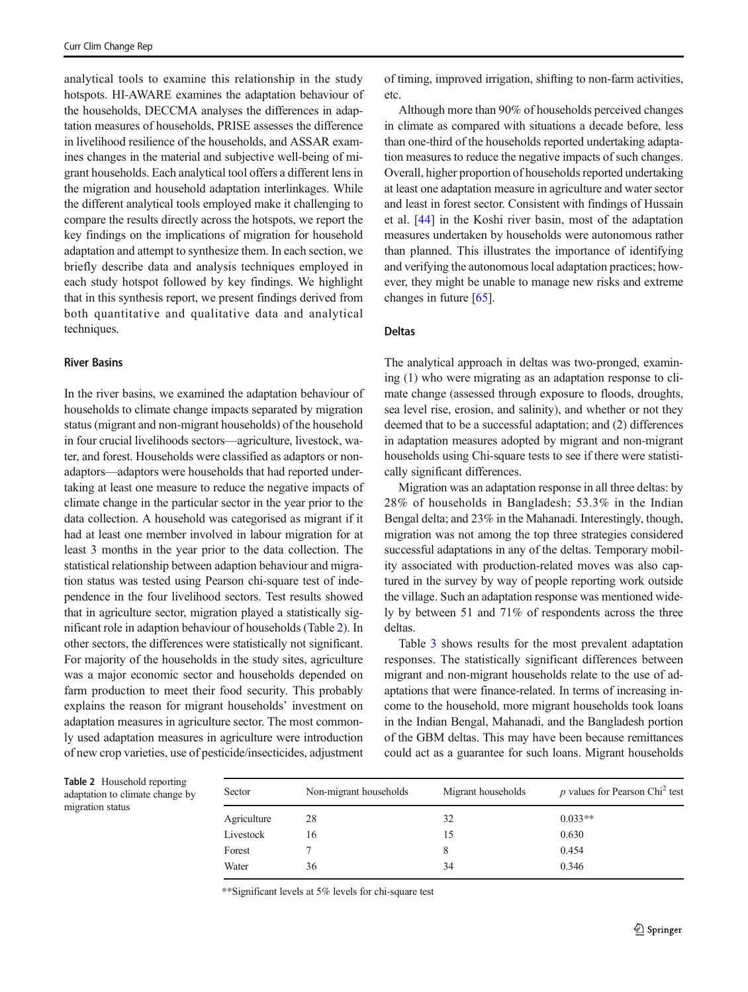analytical tools to examine this relationship in the study hotspots. HI-AWARE examines the adaptation behaviour of the households, DECCMA analyses the differences in adaptation measures of households, PRISE assesses the difference in livelihood resilience of the households, and ASSAR examines changes in the material and subjective well-being of migrant households. Each analytical tool offers a different lens in the migration and household adaptation interlinkages. While the different analytical tools employed make it challenging to compare the results directly across the hotspots, we report the key findings on the implications of migration for household adaptation and attempt to synthesize them. In each section, we briefly describe data and analysis techniques employed in each study hotspot followed by key findings. We highlight that in this synthesis report, we present findings derived from both quantitative and qualitative data and analytical techniques.

#### River Basins

In the river basins, we examined the adaptation behaviour of households to climate change impacts separated by migration status (migrant and non-migrant households) of the household in four crucial livelihoods sectors—agriculture, livestock, water, and forest. Households were classified as adaptors or nonadaptors—adaptors were households that had reported undertaking at least one measure to reduce the negative impacts of climate change in the particular sector in the year prior to the data collection. A household was categorised as migrant if it had at least one member involved in labour migration for at least 3 months in the year prior to the data collection. The statistical relationship between adaption behaviour and migration status was tested using Pearson chi-square test of independence in the four livelihood sectors. Test results showed that in agriculture sector, migration played a statistically significant role in adaption behaviour of households (Table 2). In other sectors, the differences were statistically not significant. For majority of the households in the study sites, agriculture was a major economic sector and households depended on farm production to meet their food security. This probably explains the reason for migrant households' investment on adaptation measures in agriculture sector. The most commonly used adaptation measures in agriculture were introduction of new crop varieties, use of pesticide/insecticides, adjustment

of timing, improved irrigation, shifting to non-farm activities, etc.

Although more than 90% of households perceived changes in climate as compared with situations a decade before, less than one-third of the households reported undertaking adaptation measures to reduce the negative impacts of such changes. Overall, higher proportion of households reported undertaking at least one adaptation measure in agriculture and water sector and least in forest sector. Consistent with findings of Hussain et al. [\[44](#page-13-0)] in the Koshi river basin, most of the adaptation measures undertaken by households were autonomous rather than planned. This illustrates the importance of identifying and verifying the autonomous local adaptation practices; however, they might be unable to manage new risks and extreme changes in future [\[65\]](#page-14-0).

#### Deltas

The analytical approach in deltas was two-pronged, examining (1) who were migrating as an adaptation response to climate change (assessed through exposure to floods, droughts, sea level rise, erosion, and salinity), and whether or not they deemed that to be a successful adaptation; and (2) differences in adaptation measures adopted by migrant and non-migrant households using Chi-square tests to see if there were statistically significant differences.

Migration was an adaptation response in all three deltas: by 28% of households in Bangladesh; 53.3% in the Indian Bengal delta; and 23% in the Mahanadi. Interestingly, though, migration was not among the top three strategies considered successful adaptations in any of the deltas. Temporary mobility associated with production-related moves was also captured in the survey by way of people reporting work outside the village. Such an adaptation response was mentioned widely by between 51 and 71% of respondents across the three deltas.

Table [3](#page-9-0) shows results for the most prevalent adaptation responses. The statistically significant differences between migrant and non-migrant households relate to the use of adaptations that were finance-related. In terms of increasing income to the household, more migrant households took loans in the Indian Bengal, Mahanadi, and the Bangladesh portion of the GBM deltas. This may have been because remittances could act as a guarantee for such loans. Migrant households

Table 2 Household reporting adaptation to climate change by migration status

| Sector      | Non-migrant households | Migrant households | $p$ values for Pearson Chi <sup>2</sup> test |  |  |
|-------------|------------------------|--------------------|----------------------------------------------|--|--|
| Agriculture | 28                     | 32                 | $0.033**$                                    |  |  |
| Livestock   | 16                     | 15                 | 0.630                                        |  |  |
| Forest      |                        | 8                  | 0.454                                        |  |  |
| Water       | 36                     | 34                 | 0.346                                        |  |  |

\*\*Significant levels at 5% levels for chi-square test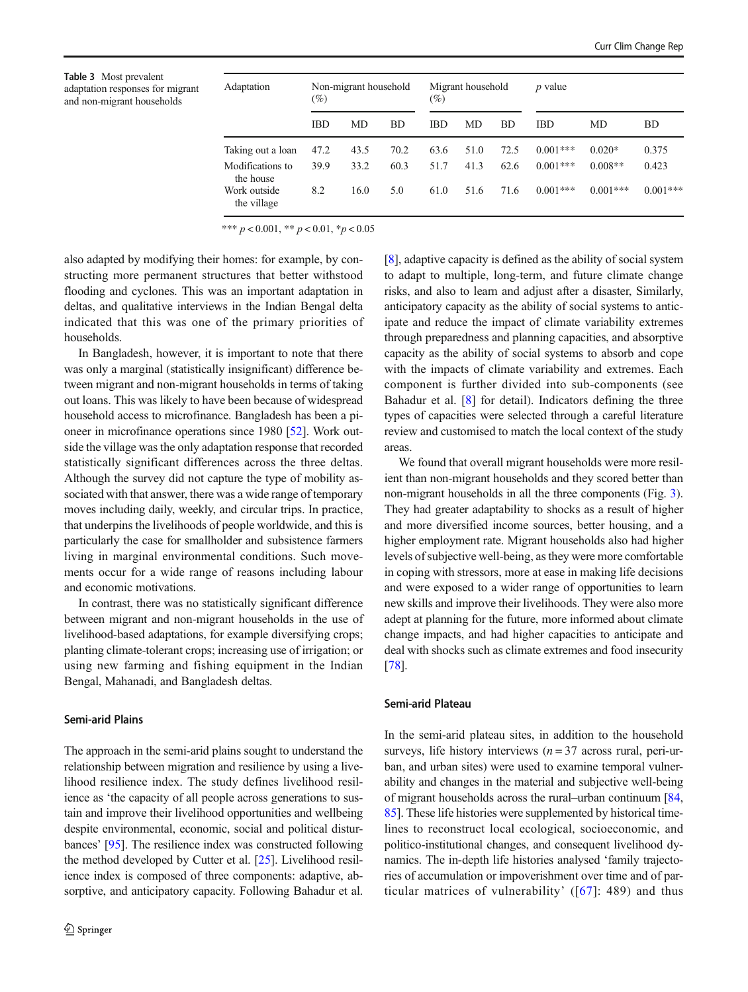<span id="page-9-0"></span>Table 3 Most prevalent adaptation responses for migrant and non-migrant households

| Adaptation                    | Non-migrant household<br>(%) |      | Migrant household<br>(%) |      | $p$ value |           |            |            |            |
|-------------------------------|------------------------------|------|--------------------------|------|-----------|-----------|------------|------------|------------|
|                               | <b>IBD</b>                   | MD   | <b>BD</b>                | IBD  | MD        | <b>BD</b> | <b>IBD</b> | <b>MD</b>  | BD         |
| Taking out a loan             | 47.2                         | 43.5 | 70.2                     | 63.6 | 51.0      | 72.5      | $0.001***$ | $0.020*$   | 0.375      |
| Modifications to<br>the house | 39.9                         | 33.2 | 60.3                     | 51.7 | 41.3      | 62.6      | $0.001***$ | $0.008**$  | 0.423      |
| Work outside<br>the village   | 8.2                          | 16.0 | 5.0                      | 61.0 | 51.6      | 71.6      | $0.001***$ | $0.001***$ | $0.001***$ |

\*\*\*  $p < 0.001$ , \*\*  $p < 0.01$ , \* $p < 0.05$ 

also adapted by modifying their homes: for example, by constructing more permanent structures that better withstood flooding and cyclones. This was an important adaptation in deltas, and qualitative interviews in the Indian Bengal delta indicated that this was one of the primary priorities of households.

In Bangladesh, however, it is important to note that there was only a marginal (statistically insignificant) difference between migrant and non-migrant households in terms of taking out loans. This was likely to have been because of widespread household access to microfinance. Bangladesh has been a pioneer in microfinance operations since 1980 [[52\]](#page-14-0). Work outside the village was the only adaptation response that recorded statistically significant differences across the three deltas. Although the survey did not capture the type of mobility associated with that answer, there was a wide range of temporary moves including daily, weekly, and circular trips. In practice, that underpins the livelihoods of people worldwide, and this is particularly the case for smallholder and subsistence farmers living in marginal environmental conditions. Such movements occur for a wide range of reasons including labour and economic motivations.

In contrast, there was no statistically significant difference between migrant and non-migrant households in the use of livelihood-based adaptations, for example diversifying crops; planting climate-tolerant crops; increasing use of irrigation; or using new farming and fishing equipment in the Indian Bengal, Mahanadi, and Bangladesh deltas.

#### Semi-arid Plains

The approach in the semi-arid plains sought to understand the relationship between migration and resilience by using a livelihood resilience index. The study defines livelihood resilience as 'the capacity of all people across generations to sustain and improve their livelihood opportunities and wellbeing despite environmental, economic, social and political disturbances' [\[95](#page-15-0)]. The resilience index was constructed following the method developed by Cutter et al. [[25\]](#page-13-0). Livelihood resilience index is composed of three components: adaptive, absorptive, and anticipatory capacity. Following Bahadur et al.

[\[8](#page-12-0)], adaptive capacity is defined as the ability of social system to adapt to multiple, long-term, and future climate change risks, and also to learn and adjust after a disaster, Similarly, anticipatory capacity as the ability of social systems to anticipate and reduce the impact of climate variability extremes through preparedness and planning capacities, and absorptive capacity as the ability of social systems to absorb and cope with the impacts of climate variability and extremes. Each component is further divided into sub-components (see Bahadur et al. [[8\]](#page-12-0) for detail). Indicators defining the three types of capacities were selected through a careful literature review and customised to match the local context of the study areas.

We found that overall migrant households were more resilient than non-migrant households and they scored better than non-migrant households in all the three components (Fig. [3\)](#page-10-0). They had greater adaptability to shocks as a result of higher and more diversified income sources, better housing, and a higher employment rate. Migrant households also had higher levels of subjective well-being, as they were more comfortable in coping with stressors, more at ease in making life decisions and were exposed to a wider range of opportunities to learn new skills and improve their livelihoods. They were also more adept at planning for the future, more informed about climate change impacts, and had higher capacities to anticipate and deal with shocks such as climate extremes and food insecurity [\[78](#page-14-0)].

#### Semi-arid Plateau

In the semi-arid plateau sites, in addition to the household surveys, life history interviews ( $n = 37$  across rural, peri-urban, and urban sites) were used to examine temporal vulnerability and changes in the material and subjective well-being of migrant households across the rural–urban continuum [\[84,](#page-14-0) [85\]](#page-15-0). These life histories were supplemented by historical timelines to reconstruct local ecological, socioeconomic, and politico-institutional changes, and consequent livelihood dynamics. The in-depth life histories analysed 'family trajectories of accumulation or impoverishment over time and of particular matrices of vulnerability'  $(67)$  $(67)$  $(67)$ : 489) and thus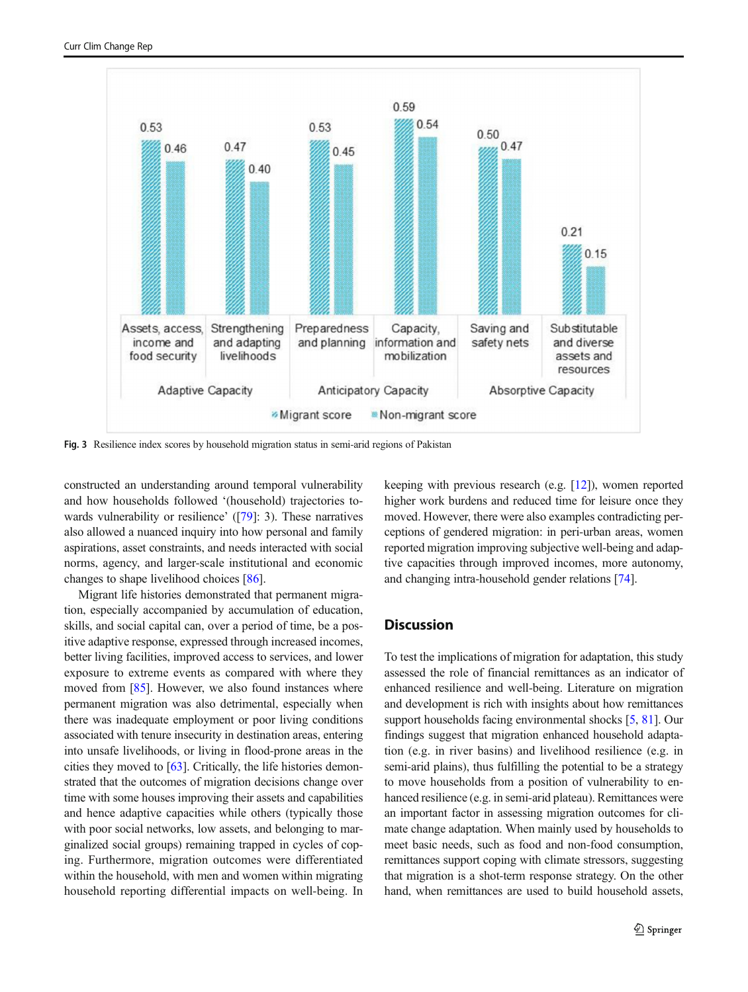<span id="page-10-0"></span>

Fig. 3 Resilience index scores by household migration status in semi-arid regions of Pakistan

constructed an understanding around temporal vulnerability and how households followed '(household) trajectories to-wards vulnerability or resilience' ([[79](#page-14-0)]: 3). These narratives also allowed a nuanced inquiry into how personal and family aspirations, asset constraints, and needs interacted with social norms, agency, and larger-scale institutional and economic changes to shape livelihood choices [\[86](#page-15-0)].

Migrant life histories demonstrated that permanent migration, especially accompanied by accumulation of education, skills, and social capital can, over a period of time, be a positive adaptive response, expressed through increased incomes, better living facilities, improved access to services, and lower exposure to extreme events as compared with where they moved from  $[85]$  $[85]$ . However, we also found instances where permanent migration was also detrimental, especially when there was inadequate employment or poor living conditions associated with tenure insecurity in destination areas, entering into unsafe livelihoods, or living in flood-prone areas in the cities they moved to  $[63]$  $[63]$ . Critically, the life histories demonstrated that the outcomes of migration decisions change over time with some houses improving their assets and capabilities and hence adaptive capacities while others (typically those with poor social networks, low assets, and belonging to marginalized social groups) remaining trapped in cycles of coping. Furthermore, migration outcomes were differentiated within the household, with men and women within migrating household reporting differential impacts on well-being. In keeping with previous research (e.g. [[12](#page-13-0)]), women reported higher work burdens and reduced time for leisure once they moved. However, there were also examples contradicting perceptions of gendered migration: in peri-urban areas, women reported migration improving subjective well-being and adaptive capacities through improved incomes, more autonomy, and changing intra-household gender relations [\[74](#page-14-0)].

## **Discussion**

To test the implications of migration for adaptation, this study assessed the role of financial remittances as an indicator of enhanced resilience and well-being. Literature on migration and development is rich with insights about how remittances support households facing environmental shocks [\[5](#page-12-0), [81\]](#page-14-0). Our findings suggest that migration enhanced household adaptation (e.g. in river basins) and livelihood resilience (e.g. in semi-arid plains), thus fulfilling the potential to be a strategy to move households from a position of vulnerability to enhanced resilience (e.g. in semi-arid plateau). Remittances were an important factor in assessing migration outcomes for climate change adaptation. When mainly used by households to meet basic needs, such as food and non-food consumption, remittances support coping with climate stressors, suggesting that migration is a shot-term response strategy. On the other hand, when remittances are used to build household assets,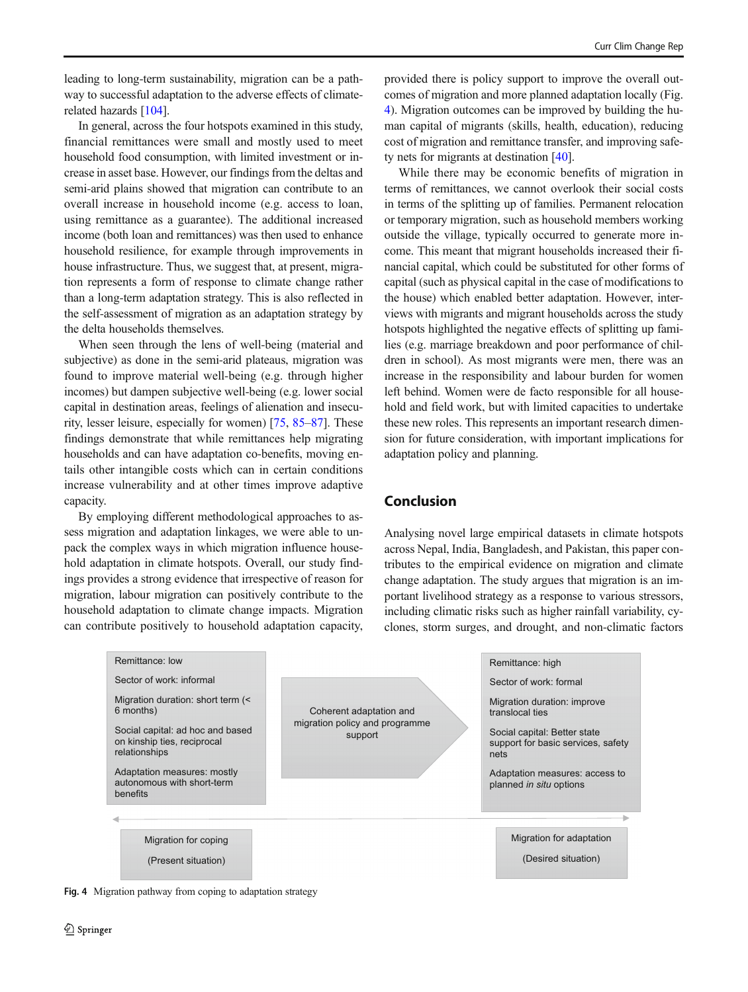<span id="page-11-0"></span>leading to long-term sustainability, migration can be a pathway to successful adaptation to the adverse effects of climaterelated hazards [\[104\]](#page-15-0).

In general, across the four hotspots examined in this study, financial remittances were small and mostly used to meet household food consumption, with limited investment or increase in asset base. However, our findings from the deltas and semi-arid plains showed that migration can contribute to an overall increase in household income (e.g. access to loan, using remittance as a guarantee). The additional increased income (both loan and remittances) was then used to enhance household resilience, for example through improvements in house infrastructure. Thus, we suggest that, at present, migration represents a form of response to climate change rather than a long-term adaptation strategy. This is also reflected in the self-assessment of migration as an adaptation strategy by the delta households themselves.

When seen through the lens of well-being (material and subjective) as done in the semi-arid plateaus, migration was found to improve material well-being (e.g. through higher incomes) but dampen subjective well-being (e.g. lower social capital in destination areas, feelings of alienation and insecurity, lesser leisure, especially for women) [[75,](#page-14-0) [85](#page-15-0)–[87](#page-15-0)]. These findings demonstrate that while remittances help migrating households and can have adaptation co-benefits, moving entails other intangible costs which can in certain conditions increase vulnerability and at other times improve adaptive capacity.

By employing different methodological approaches to assess migration and adaptation linkages, we were able to unpack the complex ways in which migration influence household adaptation in climate hotspots. Overall, our study findings provides a strong evidence that irrespective of reason for migration, labour migration can positively contribute to the household adaptation to climate change impacts. Migration can contribute positively to household adaptation capacity,

provided there is policy support to improve the overall outcomes of migration and more planned adaptation locally (Fig. 4). Migration outcomes can be improved by building the human capital of migrants (skills, health, education), reducing cost of migration and remittance transfer, and improving safety nets for migrants at destination [\[40](#page-13-0)].

While there may be economic benefits of migration in terms of remittances, we cannot overlook their social costs in terms of the splitting up of families. Permanent relocation or temporary migration, such as household members working outside the village, typically occurred to generate more income. This meant that migrant households increased their financial capital, which could be substituted for other forms of capital (such as physical capital in the case of modifications to the house) which enabled better adaptation. However, interviews with migrants and migrant households across the study hotspots highlighted the negative effects of splitting up families (e.g. marriage breakdown and poor performance of children in school). As most migrants were men, there was an increase in the responsibility and labour burden for women left behind. Women were de facto responsible for all household and field work, but with limited capacities to undertake these new roles. This represents an important research dimension for future consideration, with important implications for adaptation policy and planning.

# Conclusion

Analysing novel large empirical datasets in climate hotspots across Nepal, India, Bangladesh, and Pakistan, this paper contributes to the empirical evidence on migration and climate change adaptation. The study argues that migration is an important livelihood strategy as a response to various stressors, including climatic risks such as higher rainfall variability, cyclones, storm surges, and drought, and non-climatic factors



Fig. 4 Migration pathway from coping to adaptation strategy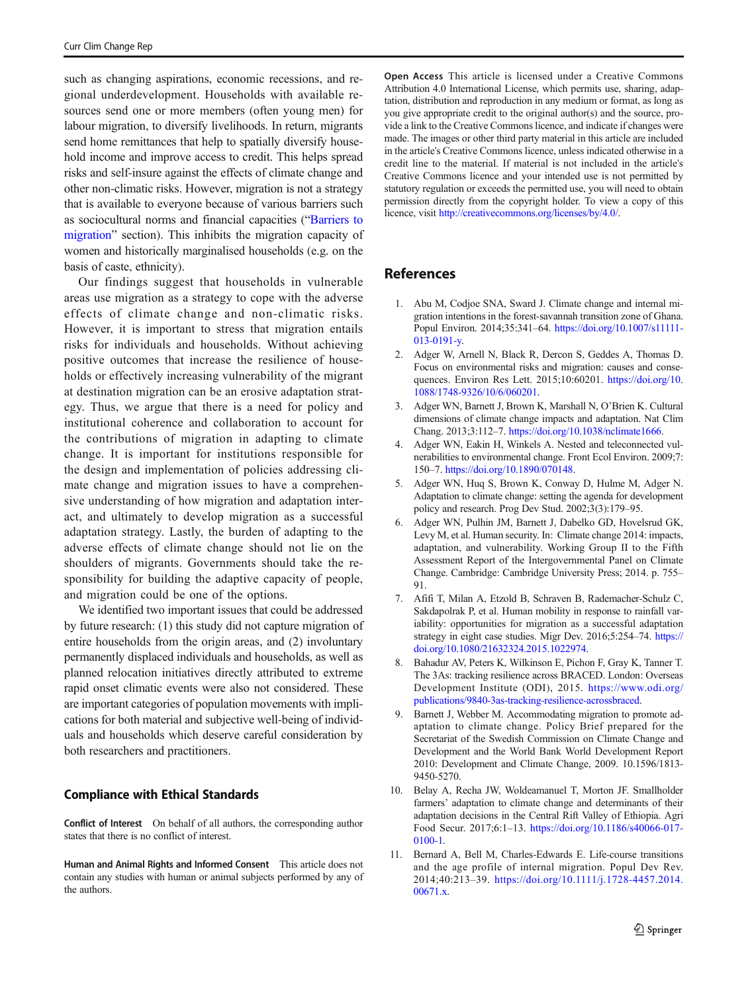<span id="page-12-0"></span>such as changing aspirations, economic recessions, and regional underdevelopment. Households with available resources send one or more members (often young men) for labour migration, to diversify livelihoods. In return, migrants send home remittances that help to spatially diversify household income and improve access to credit. This helps spread risks and self-insure against the effects of climate change and other non-climatic risks. However, migration is not a strategy that is available to everyone because of various barriers such as sociocultural norms and financial capacities ("[Barriers to](#page-7-0) [migration](#page-7-0)" section). This inhibits the migration capacity of women and historically marginalised households (e.g. on the basis of caste, ethnicity).

Our findings suggest that households in vulnerable areas use migration as a strategy to cope with the adverse effects of climate change and non-climatic risks. However, it is important to stress that migration entails risks for individuals and households. Without achieving positive outcomes that increase the resilience of households or effectively increasing vulnerability of the migrant at destination migration can be an erosive adaptation strategy. Thus, we argue that there is a need for policy and institutional coherence and collaboration to account for the contributions of migration in adapting to climate change. It is important for institutions responsible for the design and implementation of policies addressing climate change and migration issues to have a comprehensive understanding of how migration and adaptation interact, and ultimately to develop migration as a successful adaptation strategy. Lastly, the burden of adapting to the adverse effects of climate change should not lie on the shoulders of migrants. Governments should take the responsibility for building the adaptive capacity of people, and migration could be one of the options.

We identified two important issues that could be addressed by future research: (1) this study did not capture migration of entire households from the origin areas, and (2) involuntary permanently displaced individuals and households, as well as planned relocation initiatives directly attributed to extreme rapid onset climatic events were also not considered. These are important categories of population movements with implications for both material and subjective well-being of individuals and households which deserve careful consideration by both researchers and practitioners.

## Compliance with Ethical Standards

Conflict of Interest On behalf of all authors, the corresponding author states that there is no conflict of interest.

Human and Animal Rights and Informed Consent This article does not contain any studies with human or animal subjects performed by any of the authors.

Open Access This article is licensed under a Creative Commons Attribution 4.0 International License, which permits use, sharing, adaptation, distribution and reproduction in any medium or format, as long as you give appropriate credit to the original author(s) and the source, provide a link to the Creative Commons licence, and indicate if changes were made. The images or other third party material in this article are included in the article's Creative Commons licence, unless indicated otherwise in a credit line to the material. If material is not included in the article's Creative Commons licence and your intended use is not permitted by statutory regulation or exceeds the permitted use, you will need to obtain permission directly from the copyright holder. To view a copy of this licence, visit <http://creativecommons.org/licenses/by/4.0/>.

## References

- 1. Abu M, Codjoe SNA, Sward J. Climate change and internal migration intentions in the forest-savannah transition zone of Ghana. Popul Environ. 2014;35:341–64. [https://doi.org/10.1007/s11111-](http://creativecommons.org/licenses/by/4.0/) [013-0191-y.](http://creativecommons.org/licenses/by/4.0/)
- 2. Adger W, Arnell N, Black R, Dercon S, Geddes A, Thomas D. Focus on environmental risks and migration: causes and consequences. Environ Res Lett. 2015;10:60201. [https://doi.org/10.](https://doi.org/10.1088/1748-9326/10/6/060201) [1088/1748-9326/10/6/060201.](https://doi.org/10.1088/1748-9326/10/6/060201)
- 3. Adger WN, Barnett J, Brown K, Marshall N, O'Brien K. Cultural dimensions of climate change impacts and adaptation. Nat Clim Chang. 2013;3:112–7. [https://doi.org/10.1038/nclimate1666.](https://doi.org/10.1038/nclimate1666)
- 4. Adger WN, Eakin H, Winkels A. Nested and teleconnected vulnerabilities to environmental change. Front Ecol Environ. 2009;7: 150–7. <https://doi.org/10.1890/070148>.
- 5. Adger WN, Huq S, Brown K, Conway D, Hulme M, Adger N. Adaptation to climate change: setting the agenda for development policy and research. Prog Dev Stud. 2002;3(3):179–95.
- 6. Adger WN, Pulhin JM, Barnett J, Dabelko GD, Hovelsrud GK, Levy M, et al. Human security. In: Climate change 2014: impacts, adaptation, and vulnerability. Working Group II to the Fifth Assessment Report of the Intergovernmental Panel on Climate Change. Cambridge: Cambridge University Press; 2014. p. 755– 91.
- 7. Afifi T, Milan A, Etzold B, Schraven B, Rademacher-Schulz C, Sakdapolrak P, et al. Human mobility in response to rainfall variability: opportunities for migration as a successful adaptation strategy in eight case studies. Migr Dev. 2016;5:254–74. [https://](https://doi.org/10.1080/21632324.2015.1022974) [doi.org/10.1080/21632324.2015.1022974.](https://doi.org/10.1080/21632324.2015.1022974)
- 8. Bahadur AV, Peters K, Wilkinson E, Pichon F, Gray K, Tanner T. The 3As: tracking resilience across BRACED. London: Overseas Development Institute (ODI), 2015. [https://www.odi.org/](https://www.odi.org/publications/9840-3as-tracking-resilience-acrossbraced) [publications/9840-3as-tracking-resilience-acrossbraced](https://www.odi.org/publications/9840-3as-tracking-resilience-acrossbraced).
- 9. Barnett J, Webber M. Accommodating migration to promote adaptation to climate change. Policy Brief prepared for the Secretariat of the Swedish Commission on Climate Change and Development and the World Bank World Development Report 2010: Development and Climate Change, 2009. 10.1596/1813- 9450-5270.
- 10. Belay A, Recha JW, Woldeamanuel T, Morton JF. Smallholder farmers' adaptation to climate change and determinants of their adaptation decisions in the Central Rift Valley of Ethiopia. Agri Food Secur. 2017;6:1–13. [https://doi.org/10.1186/s40066-017-](https://doi.org/10.1186/s40066-017-0100-1) [0100-1.](https://doi.org/10.1186/s40066-017-0100-1)
- 11. Bernard A, Bell M, Charles-Edwards E. Life-course transitions and the age profile of internal migration. Popul Dev Rev. 2014;40:213–39. [https://doi.org/10.1111/j.1728-4457.2014.](http://creativecommons.org/licenses/by/4.0/) [00671.x](http://creativecommons.org/licenses/by/4.0/).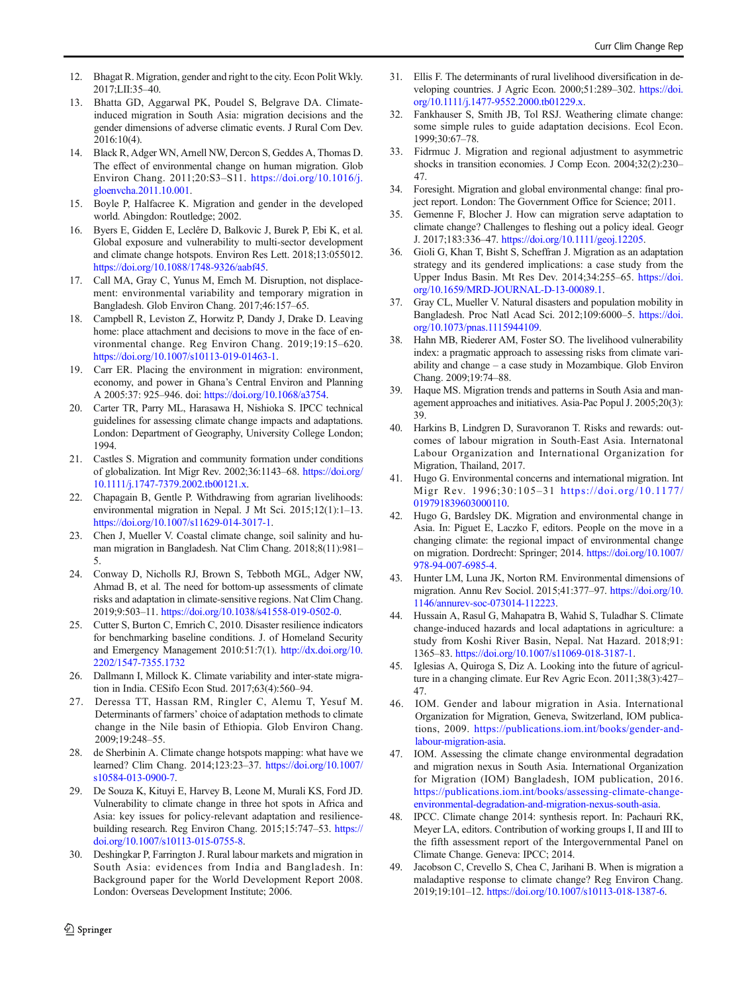- <span id="page-13-0"></span>12. Bhagat R. Migration, gender and right to the city. Econ Polit Wkly. 2017;LII:35–40.
- 13. Bhatta GD, Aggarwal PK, Poudel S, Belgrave DA. Climateinduced migration in South Asia: migration decisions and the gender dimensions of adverse climatic events. J Rural Com Dev. 2016:10(4).
- 14. Black R, Adger WN, Arnell NW, Dercon S, Geddes A, Thomas D. The effect of environmental change on human migration. Glob Environ Chang. 2011;20:S3–S11. [https://doi.org/10.1016/j.](https://doi.org/10.1016/j.gloenvcha.2011.10.001) [gloenvcha.2011.10.001](https://doi.org/10.1016/j.gloenvcha.2011.10.001).
- 15. Boyle P, Halfacree K. Migration and gender in the developed world. Abingdon: Routledge; 2002.
- 16. Byers E, Gidden E, Leclêre D, Balkovic J, Burek P, Ebi K, et al. Global exposure and vulnerability to multi-sector development and climate change hotspots. Environ Res Lett. 2018;13:055012. <https://doi.org/10.1088/1748-9326/aabf45>.
- 17. Call MA, Gray C, Yunus M, Emch M. Disruption, not displacement: environmental variability and temporary migration in Bangladesh. Glob Environ Chang. 2017;46:157–65.
- 18. Campbell R, Leviston Z, Horwitz P, Dandy J, Drake D. Leaving home: place attachment and decisions to move in the face of environmental change. Reg Environ Chang. 2019;19:15–620. [https://doi.org/10.1007/s10113-019-01463-1.](https://doi.org/10.1007/s10113-019-01463-1)
- 19. Carr ER. Placing the environment in migration: environment, economy, and power in Ghana's Central Environ and Planning A 2005:37: 925–946. doi: [https://doi.org/10.1068/a3754.](https://doi.org/10.1068/a3754)
- 20. Carter TR, Parry ML, Harasawa H, Nishioka S. IPCC technical guidelines for assessing climate change impacts and adaptations. London: Department of Geography, University College London; 1994.
- 21. Castles S. Migration and community formation under conditions of globalization. Int Migr Rev. 2002;36:1143–68. [https://doi.org/](https://doi.org/10.1111/j.1747-7379.2002.tb00121.x) [10.1111/j.1747-7379.2002.tb00121.x](https://doi.org/10.1111/j.1747-7379.2002.tb00121.x).
- 22. Chapagain B, Gentle P. Withdrawing from agrarian livelihoods: environmental migration in Nepal. J Mt Sci. 2015;12(1):1–13. [https://doi.org/10.1007/s11629-014-3017-1.](https://doi.org/10.1007/s11629-014-3017-1)
- 23. Chen J, Mueller V. Coastal climate change, soil salinity and human migration in Bangladesh. Nat Clim Chang. 2018;8(11):981– 5.
- 24. Conway D, Nicholls RJ, Brown S, Tebboth MGL, Adger NW, Ahmad B, et al. The need for bottom-up assessments of climate risks and adaptation in climate-sensitive regions. Nat Clim Chang. 2019;9:503–11. <https://doi.org/10.1038/s41558-019-0502-0>.
- 25. Cutter S, Burton C, Emrich C, 2010. Disaster resilience indicators for benchmarking baseline conditions. J. of Homeland Security and Emergency Management 2010:51:7(1). [http://dx.doi.org/10.](http://dx.doi.org/10.2202/1547-7355.1732) [2202/1547-7355.1732](http://dx.doi.org/10.2202/1547-7355.1732)
- 26. Dallmann I, Millock K. Climate variability and inter-state migration in India. CESifo Econ Stud. 2017;63(4):560–94.
- 27. Deressa TT, Hassan RM, Ringler C, Alemu T, Yesuf M. Determinants of farmers' choice of adaptation methods to climate change in the Nile basin of Ethiopia. Glob Environ Chang. 2009;19:248–55.
- 28. de Sherbinin A. Climate change hotspots mapping: what have we learned? Clim Chang. 2014;123:23–37. [https://doi.org/10.1007/](https://doi.org/10.1007/s10584-013-0900-7) [s10584-013-0900-7](https://doi.org/10.1007/s10584-013-0900-7).
- 29. De Souza K, Kituyi E, Harvey B, Leone M, Murali KS, Ford JD. Vulnerability to climate change in three hot spots in Africa and Asia: key issues for policy-relevant adaptation and resiliencebuilding research. Reg Environ Chang. 2015;15:747–53. [https://](https://doi.org/10.1007/s10113-015-0755-8) [doi.org/10.1007/s10113-015-0755-8](https://doi.org/10.1007/s10113-015-0755-8).
- 30. Deshingkar P, Farrington J. Rural labour markets and migration in South Asia: evidences from India and Bangladesh. In: Background paper for the World Development Report 2008. London: Overseas Development Institute; 2006.
- 31. Ellis F. The determinants of rural livelihood diversification in developing countries. J Agric Econ. 2000;51:289–302. [https://doi.](http://dx.doi.org/10.2202/1547-7355.1732) [org/10.1111/j.1477-9552.2000.tb01229.x](http://dx.doi.org/10.2202/1547-7355.1732).
- 32. Fankhauser S, Smith JB, Tol RSJ. Weathering climate change: some simple rules to guide adaptation decisions. Ecol Econ. 1999;30:67–78.
- 33. Fidrmuc J. Migration and regional adjustment to asymmetric shocks in transition economies. J Comp Econ. 2004;32(2):230– 47.
- 34. Foresight. Migration and global environmental change: final project report. London: The Government Office for Science; 2011.
- 35. Gemenne F, Blocher J. How can migration serve adaptation to climate change? Challenges to fleshing out a policy ideal. Geogr J. 2017;183:336–47. <https://doi.org/10.1111/geoj.12205>.
- 36. Gioli G, Khan T, Bisht S, Scheffran J. Migration as an adaptation strategy and its gendered implications: a case study from the Upper Indus Basin. Mt Res Dev. 2014;34:255–65. [https://doi.](https://doi.org/10.1659/MRD-JOURNAL-D-13-00089.1) [org/10.1659/MRD-JOURNAL-D-13-00089.1.](https://doi.org/10.1659/MRD-JOURNAL-D-13-00089.1)
- 37. Gray CL, Mueller V. Natural disasters and population mobility in Bangladesh. Proc Natl Acad Sci. 2012;109:6000–5. [https://doi.](https://doi.org/10.1073/pnas.1115944109) [org/10.1073/pnas.1115944109](https://doi.org/10.1073/pnas.1115944109).
- 38. Hahn MB, Riederer AM, Foster SO. The livelihood vulnerability index: a pragmatic approach to assessing risks from climate variability and change – a case study in Mozambique. Glob Environ Chang. 2009;19:74–88.
- 39. Haque MS. Migration trends and patterns in South Asia and management approaches and initiatives. Asia-Pac Popul J. 2005;20(3): 39.
- 40. Harkins B, Lindgren D, Suravoranon T. Risks and rewards: outcomes of labour migration in South-East Asia. Internatonal Labour Organization and International Organization for Migration, Thailand, 2017.
- 41. Hugo G. Environmental concerns and international migration. Int Migr Rev. 1996;30:105–31 [https://doi.org/10.1177/](https://doi.org/10.1177/019791839603000110) [019791839603000110.](https://doi.org/10.1177/019791839603000110)
- 42. Hugo G, Bardsley DK. Migration and environmental change in Asia. In: Piguet E, Laczko F, editors. People on the move in a changing climate: the regional impact of environmental change on migration. Dordrecht: Springer; 2014. [https://doi.org/10.1007/](https://doi.org/10.1007/978-94-007-6985-4) [978-94-007-6985-4.](https://doi.org/10.1007/978-94-007-6985-4)
- 43. Hunter LM, Luna JK, Norton RM. Environmental dimensions of migration. Annu Rev Sociol. 2015;41:377–97. [https://doi.org/10.](https://doi.org/10.1146/annurev-soc-073014-112223) [1146/annurev-soc-073014-112223](https://doi.org/10.1146/annurev-soc-073014-112223).
- 44. Hussain A, Rasul G, Mahapatra B, Wahid S, Tuladhar S. Climate change-induced hazards and local adaptations in agriculture: a study from Koshi River Basin, Nepal. Nat Hazard. 2018;91: 1365–83. <https://doi.org/10.1007/s11069-018-3187-1>.
- 45. Iglesias A, Quiroga S, Diz A. Looking into the future of agriculture in a changing climate. Eur Rev Agric Econ. 2011;38(3):427– 47.
- 46. IOM. Gender and labour migration in Asia. International Organization for Migration, Geneva, Switzerland, IOM publications, 2009. [https://publications.iom.int/books/gender-and](https://publications.iom.int/books/gender-and-labour-migration-asia)[labour-migration-asia.](https://publications.iom.int/books/gender-and-labour-migration-asia)
- 47. IOM. Assessing the climate change environmental degradation and migration nexus in South Asia. International Organization for Migration (IOM) Bangladesh, IOM publication, 2016. [https://publications.iom.int/books/assessing-climate-change](https://publications.iom.int/books/assessing-climate-change-environmental-degradation-and-migration-nexus-south-asia)[environmental-degradation-and-migration-nexus-south-asia](https://publications.iom.int/books/assessing-climate-change-environmental-degradation-and-migration-nexus-south-asia).
- 48. IPCC. Climate change 2014: synthesis report. In: Pachauri RK, Meyer LA, editors. Contribution of working groups I, II and III to the fifth assessment report of the Intergovernmental Panel on Climate Change. Geneva: IPCC; 2014.
- 49. Jacobson C, Crevello S, Chea C, Jarihani B. When is migration a maladaptive response to climate change? Reg Environ Chang. 2019;19:101–12. <https://doi.org/10.1007/s10113-018-1387-6>.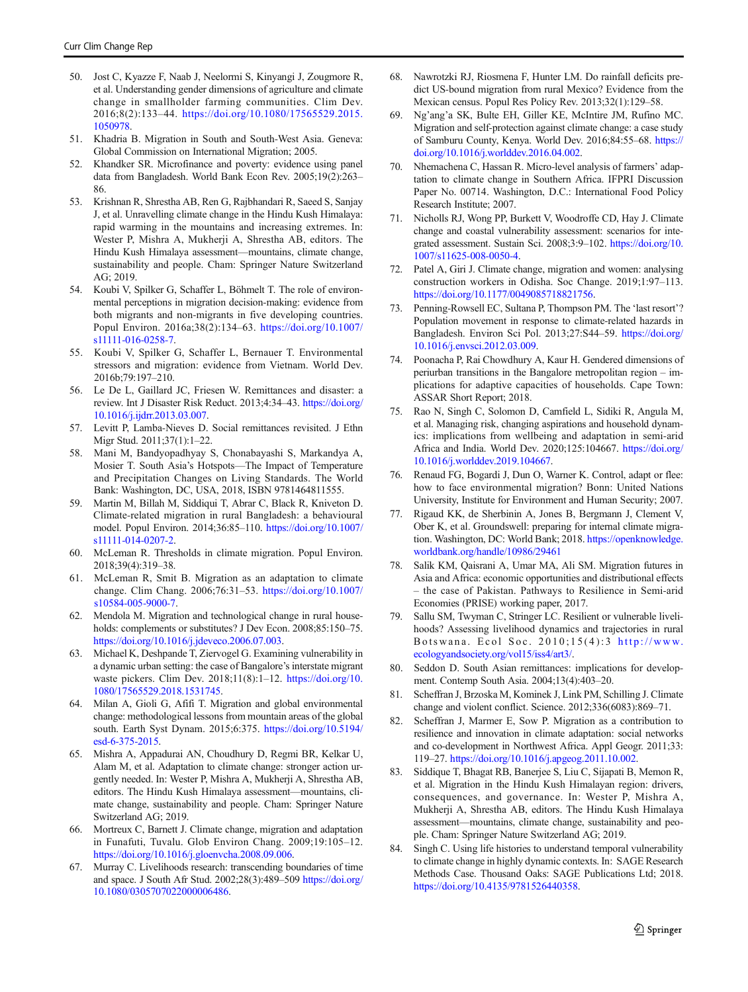- <span id="page-14-0"></span>50. Jost C, Kyazze F, Naab J, Neelormi S, Kinyangi J, Zougmore R, et al. Understanding gender dimensions of agriculture and climate change in smallholder farming communities. Clim Dev. 2016;8(2):133–44. [https://doi.org/10.1080/17565529.2015.](https://doi.org/10.1080/17565529.2015.1050978) [1050978](https://doi.org/10.1080/17565529.2015.1050978).
- 51. Khadria B. Migration in South and South-West Asia. Geneva: Global Commission on International Migration; 2005.
- 52. Khandker SR. Microfinance and poverty: evidence using panel data from Bangladesh. World Bank Econ Rev. 2005;19(2):263– 86.
- 53. Krishnan R, Shrestha AB, Ren G, Rajbhandari R, Saeed S, Sanjay J, et al. Unravelling climate change in the Hindu Kush Himalaya: rapid warming in the mountains and increasing extremes. In: Wester P, Mishra A, Mukherji A, Shrestha AB, editors. The Hindu Kush Himalaya assessment—mountains, climate change, sustainability and people. Cham: Springer Nature Switzerland  $AG: 2019$ .
- 54. Koubi V, Spilker G, Schaffer L, Böhmelt T. The role of environmental perceptions in migration decision-making: evidence from both migrants and non-migrants in five developing countries. Popul Environ. 2016a;38(2):134–63. [https://doi.org/10.1007/](https://doi.org/10.1007/s11111-016-0258-7) [s11111-016-0258-7](https://doi.org/10.1007/s11111-016-0258-7).
- 55. Koubi V, Spilker G, Schaffer L, Bernauer T. Environmental stressors and migration: evidence from Vietnam. World Dev. 2016b;79:197–210.
- 56. Le De L, Gaillard JC, Friesen W. Remittances and disaster: a review. Int J Disaster Risk Reduct. 2013;4:34–43. [https://doi.org/](https://doi.org/10.1016/j.ijdrr.2013.03.007) [10.1016/j.ijdrr.2013.03.007](https://doi.org/10.1016/j.ijdrr.2013.03.007).
- 57. Levitt P, Lamba-Nieves D. Social remittances revisited. J Ethn Migr Stud. 2011;37(1):1–22.
- 58. Mani M, Bandyopadhyay S, Chonabayashi S, Markandya A, Mosier T. South Asia's Hotspots—The Impact of Temperature and Precipitation Changes on Living Standards. The World Bank: Washington, DC, USA, 2018, ISBN 9781464811555.
- 59. Martin M, Billah M, Siddiqui T, Abrar C, Black R, Kniveton D. Climate-related migration in rural Bangladesh: a behavioural model. Popul Environ. 2014;36:85–110. [https://doi.org/10.1007/](https://doi.org/10.1007/s11111-014-0207-2) [s11111-014-0207-2](https://doi.org/10.1007/s11111-014-0207-2).
- 60. McLeman R. Thresholds in climate migration. Popul Environ. 2018;39(4):319–38.
- 61. McLeman R, Smit B. Migration as an adaptation to climate change. Clim Chang. 2006;76:31–53. [https://doi.org/10.1007/](https://doi.org/10.1007/s10584-005-9000-7) [s10584-005-9000-7.](https://doi.org/10.1007/s10584-005-9000-7)
- 62. Mendola M. Migration and technological change in rural households: complements or substitutes? J Dev Econ. 2008;85:150–75. <https://doi.org/10.1016/j.jdeveco.2006.07.003>.
- 63. Michael K, Deshpande T, Ziervogel G. Examining vulnerability in a dynamic urban setting: the case of Bangalore's interstate migrant waste pickers. Clim Dev. 2018;11(8):1–12. [https://doi.org/10.](https://doi.org/10.1080/17565529.2018.1531745) [1080/17565529.2018.1531745.](https://doi.org/10.1080/17565529.2018.1531745)
- 64. Milan A, Gioli G, Afifi T. Migration and global environmental change: methodological lessons from mountain areas of the global south. Earth Syst Dynam. 2015;6:375. [https://doi.org/10.5194/](https://doi.org/10.5194/esd-6-375-2015) [esd-6-375-2015](https://doi.org/10.5194/esd-6-375-2015).
- 65. Mishra A, Appadurai AN, Choudhury D, Regmi BR, Kelkar U, Alam M, et al. Adaptation to climate change: stronger action urgently needed. In: Wester P, Mishra A, Mukherji A, Shrestha AB, editors. The Hindu Kush Himalaya assessment—mountains, climate change, sustainability and people. Cham: Springer Nature Switzerland AG; 2019.
- 66. Mortreux C, Barnett J. Climate change, migration and adaptation in Funafuti, Tuvalu. Glob Environ Chang. 2009;19:105–12. <https://doi.org/10.1016/j.gloenvcha.2008.09.006>.
- 67. Murray C. Livelihoods research: transcending boundaries of time and space. J South Afr Stud. 2002;28(3):489–509 [https://doi.org/](https://doi.org/10.1080/0305707022000006486) [10.1080/0305707022000006486.](https://doi.org/10.1080/0305707022000006486)
- 68. Nawrotzki RJ, Riosmena F, Hunter LM. Do rainfall deficits predict US-bound migration from rural Mexico? Evidence from the Mexican census. Popul Res Policy Rev. 2013;32(1):129–58.
- 69. Ng'ang'a SK, Bulte EH, Giller KE, McIntire JM, Rufino MC. Migration and self-protection against climate change: a case study of Samburu County, Kenya. World Dev. 2016;84:55–68. [https://](https://doi.org/10.1016/j.worlddev.2016.04.002) [doi.org/10.1016/j.worlddev.2016.04.002.](https://doi.org/10.1016/j.worlddev.2016.04.002)
- 70. Nhemachena C, Hassan R. Micro-level analysis of farmers' adaptation to climate change in Southern Africa. IFPRI Discussion Paper No. 00714. Washington, D.C.: International Food Policy Research Institute; 2007.
- 71. Nicholls RJ, Wong PP, Burkett V, Woodroffe CD, Hay J. Climate change and coastal vulnerability assessment: scenarios for integrated assessment. Sustain Sci. 2008;3:9–102. [https://doi.org/10.](https://doi.org/10.1007/s11625-008-0050-4) [1007/s11625-008-0050-4.](https://doi.org/10.1007/s11625-008-0050-4)
- 72. Patel A, Giri J. Climate change, migration and women: analysing construction workers in Odisha. Soc Change. 2019;1:97–113. <https://doi.org/10.1177/0049085718821756>.
- 73. Penning-Rowsell EC, Sultana P, Thompson PM. The 'last resort'? Population movement in response to climate-related hazards in Bangladesh. Environ Sci Pol. 2013;27:S44–59. [https://doi.org/](https://doi.org/10.1016/j.envsci.2012.03.009) [10.1016/j.envsci.2012.03.009.](https://doi.org/10.1016/j.envsci.2012.03.009)
- 74. Poonacha P, Rai Chowdhury A, Kaur H. Gendered dimensions of periurban transitions in the Bangalore metropolitan region – implications for adaptive capacities of households. Cape Town: ASSAR Short Report; 2018.
- 75. Rao N, Singh C, Solomon D, Camfield L, Sidiki R, Angula M, et al. Managing risk, changing aspirations and household dynamics: implications from wellbeing and adaptation in semi-arid Africa and India. World Dev. 2020;125:104667. [https://doi.org/](https://doi.org/10.1016/j.worlddev.2019.104667) [10.1016/j.worlddev.2019.104667.](https://doi.org/10.1016/j.worlddev.2019.104667)
- 76. Renaud FG, Bogardi J, Dun O, Warner K. Control, adapt or flee: how to face environmental migration? Bonn: United Nations University, Institute for Environment and Human Security; 2007.
- 77. Rigaud KK, de Sherbinin A, Jones B, Bergmann J, Clement V, Ober K, et al. Groundswell: preparing for internal climate migration. Washington, DC: World Bank; 2018. [https://openknowledge.](https://openknowledge.worldbank.org/handle/10986/29461) [worldbank.org/handle/10986/29461](https://openknowledge.worldbank.org/handle/10986/29461)
- 78. Salik KM, Qaisrani A, Umar MA, Ali SM. Migration futures in Asia and Africa: economic opportunities and distributional effects – the case of Pakistan. Pathways to Resilience in Semi-arid Economies (PRISE) working paper, 2017.
- 79. Sallu SM, Twyman C, Stringer LC. Resilient or vulnerable livelihoods? Assessing livelihood dynamics and trajectories in rural Botswana. Ecol Soc. 2010;15(4):3 [http://www.](http://www.ecologyandsociety.org/vol15/iss4/art3/) [ecologyandsociety.org/vol15/iss4/art3/](http://www.ecologyandsociety.org/vol15/iss4/art3/).
- 80. Seddon D. South Asian remittances: implications for development. Contemp South Asia. 2004;13(4):403–20.
- 81. Scheffran J, Brzoska M, Kominek J, Link PM, Schilling J. Climate change and violent conflict. Science. 2012;336(6083):869–71.
- 82. Scheffran J, Marmer E, Sow P. Migration as a contribution to resilience and innovation in climate adaptation: social networks and co-development in Northwest Africa. Appl Geogr. 2011;33: 119–27. <https://doi.org/10.1016/j.apgeog.2011.10.002>.
- 83. Siddique T, Bhagat RB, Banerjee S, Liu C, Sijapati B, Memon R, et al. Migration in the Hindu Kush Himalayan region: drivers, consequences, and governance. In: Wester P, Mishra A, Mukherji A, Shrestha AB, editors. The Hindu Kush Himalaya assessment—mountains, climate change, sustainability and people. Cham: Springer Nature Switzerland AG; 2019.
- 84. Singh C. Using life histories to understand temporal vulnerability to climate change in highly dynamic contexts. In: SAGE Research Methods Case. Thousand Oaks: SAGE Publications Ltd; 2018. <https://doi.org/10.4135/9781526440358>.